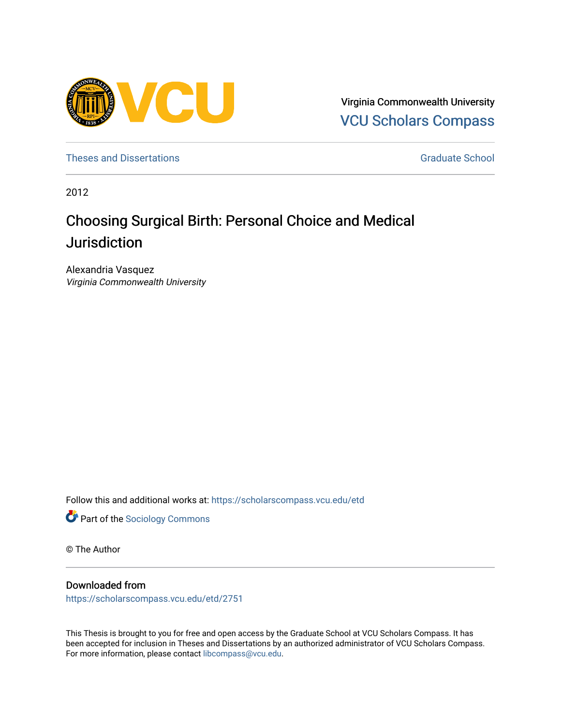

Virginia Commonwealth University [VCU Scholars Compass](https://scholarscompass.vcu.edu/) 

[Theses and Dissertations](https://scholarscompass.vcu.edu/etd) [Graduate School](https://scholarscompass.vcu.edu/gradschool) and Dissertations Graduate School and Dissertations Graduate School and Dissertations Graduate School and Dissertations Graduate School and Dissertations Graduate School and Dissert

2012

# Choosing Surgical Birth: Personal Choice and Medical **Jurisdiction**

Alexandria Vasquez Virginia Commonwealth University

Follow this and additional works at: [https://scholarscompass.vcu.edu/etd](https://scholarscompass.vcu.edu/etd?utm_source=scholarscompass.vcu.edu%2Fetd%2F2751&utm_medium=PDF&utm_campaign=PDFCoverPages) 



© The Author

## Downloaded from

[https://scholarscompass.vcu.edu/etd/2751](https://scholarscompass.vcu.edu/etd/2751?utm_source=scholarscompass.vcu.edu%2Fetd%2F2751&utm_medium=PDF&utm_campaign=PDFCoverPages) 

This Thesis is brought to you for free and open access by the Graduate School at VCU Scholars Compass. It has been accepted for inclusion in Theses and Dissertations by an authorized administrator of VCU Scholars Compass. For more information, please contact [libcompass@vcu.edu](mailto:libcompass@vcu.edu).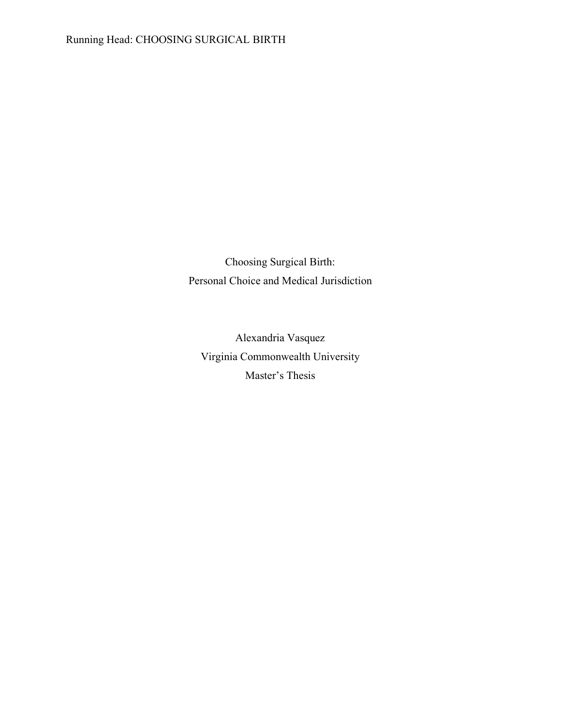Choosing Surgical Birth: Personal Choice and Medical Jurisdiction

Alexandria Vasquez Virginia Commonwealth University Master's Thesis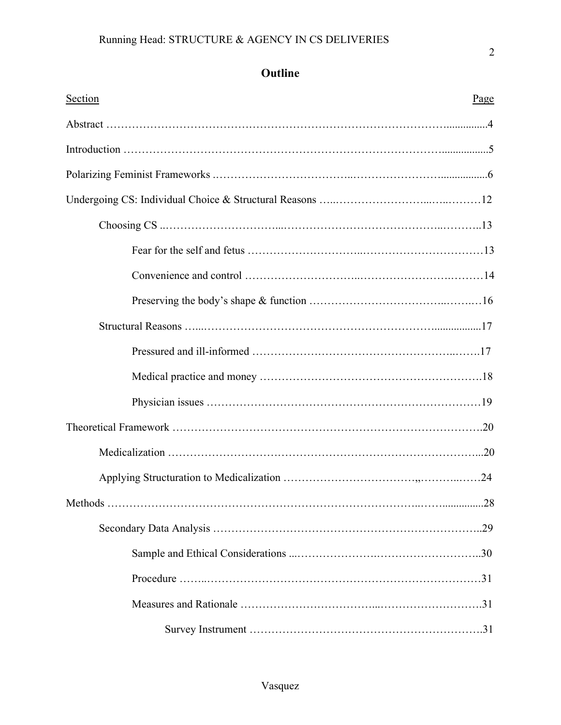# **Outline**

| Section | Page |
|---------|------|
|         |      |
|         |      |
|         |      |
|         |      |
|         |      |
|         |      |
|         |      |
|         |      |
|         |      |
|         |      |
|         |      |
|         |      |
|         |      |
|         |      |
|         |      |
|         |      |
|         |      |
|         |      |
|         |      |
|         |      |
|         |      |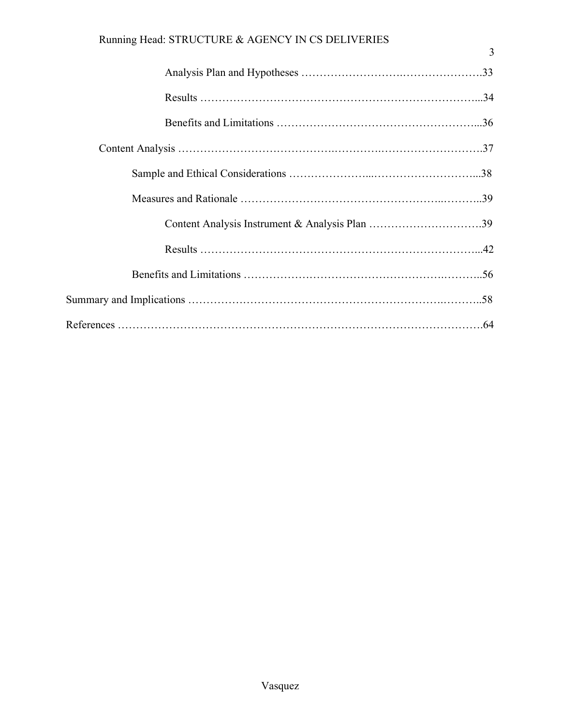3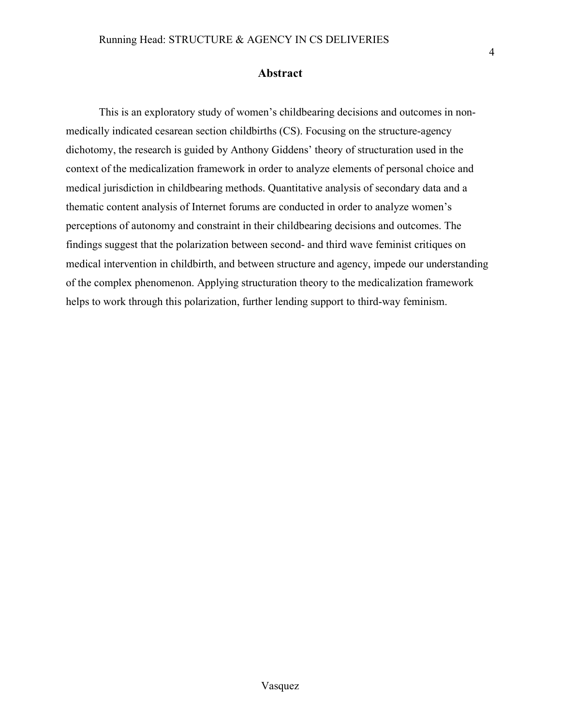## **Abstract**

This is an exploratory study of women's childbearing decisions and outcomes in nonmedically indicated cesarean section childbirths (CS). Focusing on the structure-agency dichotomy, the research is guided by Anthony Giddens' theory of structuration used in the context of the medicalization framework in order to analyze elements of personal choice and medical jurisdiction in childbearing methods. Quantitative analysis of secondary data and a thematic content analysis of Internet forums are conducted in order to analyze women's perceptions of autonomy and constraint in their childbearing decisions and outcomes. The findings suggest that the polarization between second- and third wave feminist critiques on medical intervention in childbirth, and between structure and agency, impede our understanding of the complex phenomenon. Applying structuration theory to the medicalization framework helps to work through this polarization, further lending support to third-way feminism.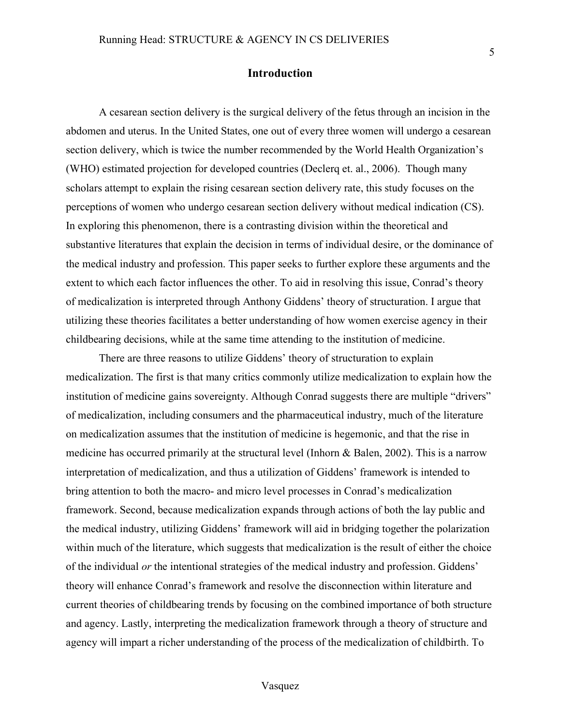## **Introduction**

A cesarean section delivery is the surgical delivery of the fetus through an incision in the abdomen and uterus. In the United States, one out of every three women will undergo a cesarean section delivery, which is twice the number recommended by the World Health Organization's (WHO) estimated projection for developed countries (Declerq et. al., 2006). Though many scholars attempt to explain the rising cesarean section delivery rate, this study focuses on the perceptions of women who undergo cesarean section delivery without medical indication (CS). In exploring this phenomenon, there is a contrasting division within the theoretical and substantive literatures that explain the decision in terms of individual desire, or the dominance of the medical industry and profession. This paper seeks to further explore these arguments and the extent to which each factor influences the other. To aid in resolving this issue, Conrad's theory of medicalization is interpreted through Anthony Giddens' theory of structuration. I argue that utilizing these theories facilitates a better understanding of how women exercise agency in their childbearing decisions, while at the same time attending to the institution of medicine.

There are three reasons to utilize Giddens' theory of structuration to explain medicalization. The first is that many critics commonly utilize medicalization to explain how the institution of medicine gains sovereignty. Although Conrad suggests there are multiple "drivers" of medicalization, including consumers and the pharmaceutical industry, much of the literature on medicalization assumes that the institution of medicine is hegemonic, and that the rise in medicine has occurred primarily at the structural level (Inhorn & Balen, 2002). This is a narrow interpretation of medicalization, and thus a utilization of Giddens' framework is intended to bring attention to both the macro- and micro level processes in Conrad's medicalization framework. Second, because medicalization expands through actions of both the lay public and the medical industry, utilizing Giddens' framework will aid in bridging together the polarization within much of the literature, which suggests that medicalization is the result of either the choice of the individual *or* the intentional strategies of the medical industry and profession. Giddens' theory will enhance Conrad's framework and resolve the disconnection within literature and current theories of childbearing trends by focusing on the combined importance of both structure and agency. Lastly, interpreting the medicalization framework through a theory of structure and agency will impart a richer understanding of the process of the medicalization of childbirth. To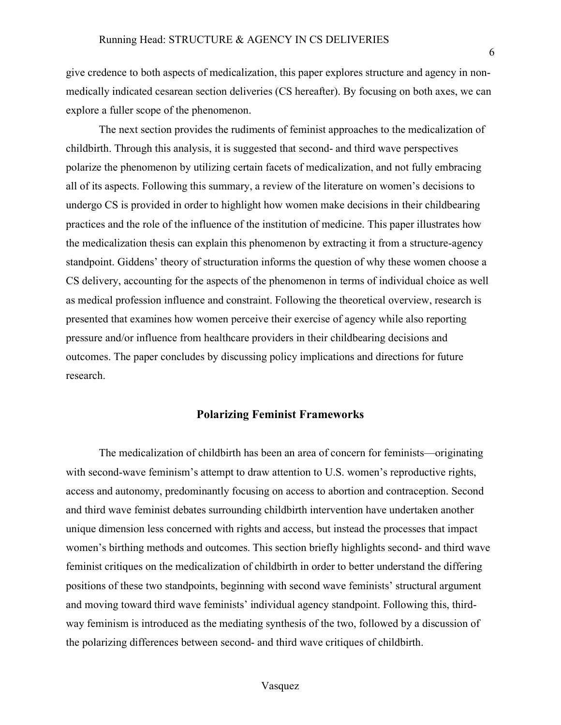give credence to both aspects of medicalization, this paper explores structure and agency in nonmedically indicated cesarean section deliveries (CS hereafter). By focusing on both axes, we can explore a fuller scope of the phenomenon.

The next section provides the rudiments of feminist approaches to the medicalization of childbirth. Through this analysis, it is suggested that second- and third wave perspectives polarize the phenomenon by utilizing certain facets of medicalization, and not fully embracing all of its aspects. Following this summary, a review of the literature on women's decisions to undergo CS is provided in order to highlight how women make decisions in their childbearing practices and the role of the influence of the institution of medicine. This paper illustrates how the medicalization thesis can explain this phenomenon by extracting it from a structure-agency standpoint. Giddens' theory of structuration informs the question of why these women choose a CS delivery, accounting for the aspects of the phenomenon in terms of individual choice as well as medical profession influence and constraint. Following the theoretical overview, research is presented that examines how women perceive their exercise of agency while also reporting pressure and/or influence from healthcare providers in their childbearing decisions and outcomes. The paper concludes by discussing policy implications and directions for future research.

## **Polarizing Feminist Frameworks**

The medicalization of childbirth has been an area of concern for feminists—originating with second-wave feminism's attempt to draw attention to U.S. women's reproductive rights, access and autonomy, predominantly focusing on access to abortion and contraception. Second and third wave feminist debates surrounding childbirth intervention have undertaken another unique dimension less concerned with rights and access, but instead the processes that impact women's birthing methods and outcomes. This section briefly highlights second- and third wave feminist critiques on the medicalization of childbirth in order to better understand the differing positions of these two standpoints, beginning with second wave feminists' structural argument and moving toward third wave feminists' individual agency standpoint. Following this, thirdway feminism is introduced as the mediating synthesis of the two, followed by a discussion of the polarizing differences between second- and third wave critiques of childbirth.

#### **Vasquez**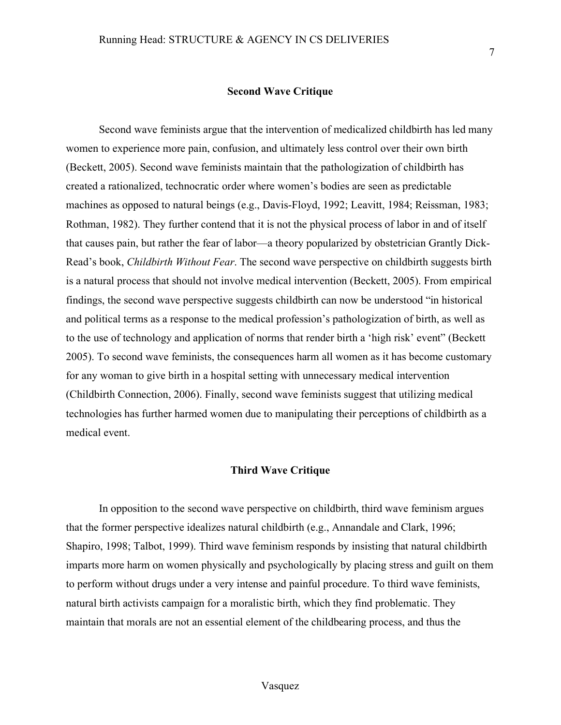#### **Second Wave Critique**

Second wave feminists argue that the intervention of medicalized childbirth has led many women to experience more pain, confusion, and ultimately less control over their own birth (Beckett, 2005). Second wave feminists maintain that the pathologization of childbirth has created a rationalized, technocratic order where women's bodies are seen as predictable machines as opposed to natural beings (e.g., Davis-Floyd, 1992; Leavitt, 1984; Reissman, 1983; Rothman, 1982). They further contend that it is not the physical process of labor in and of itself that causes pain, but rather the fear of labor—a theory popularized by obstetrician Grantly Dick-Read's book, *Childbirth Without Fear*. The second wave perspective on childbirth suggests birth is a natural process that should not involve medical intervention (Beckett, 2005). From empirical findings, the second wave perspective suggests childbirth can now be understood "in historical and political terms as a response to the medical profession's pathologization of birth, as well as to the use of technology and application of norms that render birth a 'high risk' event" (Beckett 2005). To second wave feminists, the consequences harm all women as it has become customary for any woman to give birth in a hospital setting with unnecessary medical intervention (Childbirth Connection, 2006). Finally, second wave feminists suggest that utilizing medical technologies has further harmed women due to manipulating their perceptions of childbirth as a medical event.

## **Third Wave Critique**

In opposition to the second wave perspective on childbirth, third wave feminism argues that the former perspective idealizes natural childbirth (e.g., Annandale and Clark, 1996; Shapiro, 1998; Talbot, 1999). Third wave feminism responds by insisting that natural childbirth imparts more harm on women physically and psychologically by placing stress and guilt on them to perform without drugs under a very intense and painful procedure. To third wave feminists, natural birth activists campaign for a moralistic birth, which they find problematic. They maintain that morals are not an essential element of the childbearing process, and thus the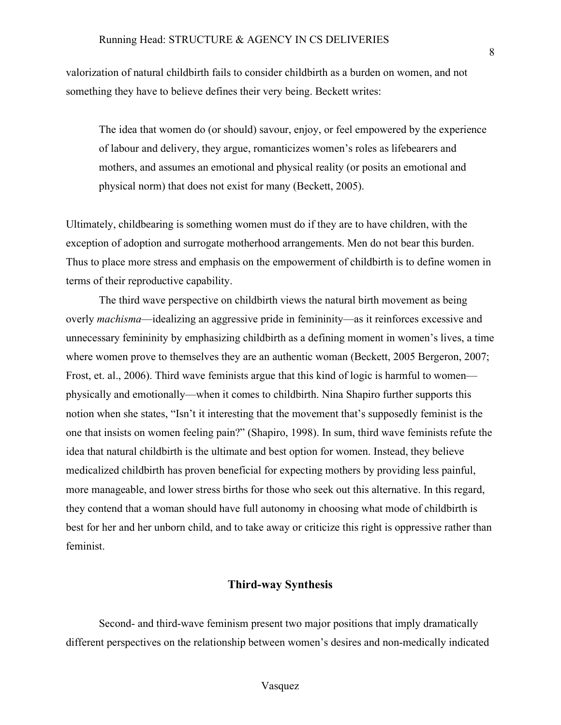valorization of natural childbirth fails to consider childbirth as a burden on women, and not something they have to believe defines their very being. Beckett writes:

The idea that women do (or should) savour, enjoy, or feel empowered by the experience of labour and delivery, they argue, romanticizes women's roles as lifebearers and mothers, and assumes an emotional and physical reality (or posits an emotional and physical norm) that does not exist for many (Beckett, 2005).

Ultimately, childbearing is something women must do if they are to have children, with the exception of adoption and surrogate motherhood arrangements. Men do not bear this burden. Thus to place more stress and emphasis on the empowerment of childbirth is to define women in terms of their reproductive capability.

The third wave perspective on childbirth views the natural birth movement as being overly *machisma*—idealizing an aggressive pride in femininity—as it reinforces excessive and unnecessary femininity by emphasizing childbirth as a defining moment in women's lives, a time where women prove to themselves they are an authentic woman (Beckett, 2005 Bergeron, 2007; Frost, et. al., 2006). Third wave feminists argue that this kind of logic is harmful to women physically and emotionally—when it comes to childbirth. Nina Shapiro further supports this notion when she states, "Isn't it interesting that the movement that's supposedly feminist is the one that insists on women feeling pain?" (Shapiro, 1998). In sum, third wave feminists refute the idea that natural childbirth is the ultimate and best option for women. Instead, they believe medicalized childbirth has proven beneficial for expecting mothers by providing less painful, more manageable, and lower stress births for those who seek out this alternative. In this regard, they contend that a woman should have full autonomy in choosing what mode of childbirth is best for her and her unborn child, and to take away or criticize this right is oppressive rather than feminist.

## **Third-way Synthesis**

Second- and third-wave feminism present two major positions that imply dramatically different perspectives on the relationship between women's desires and non-medically indicated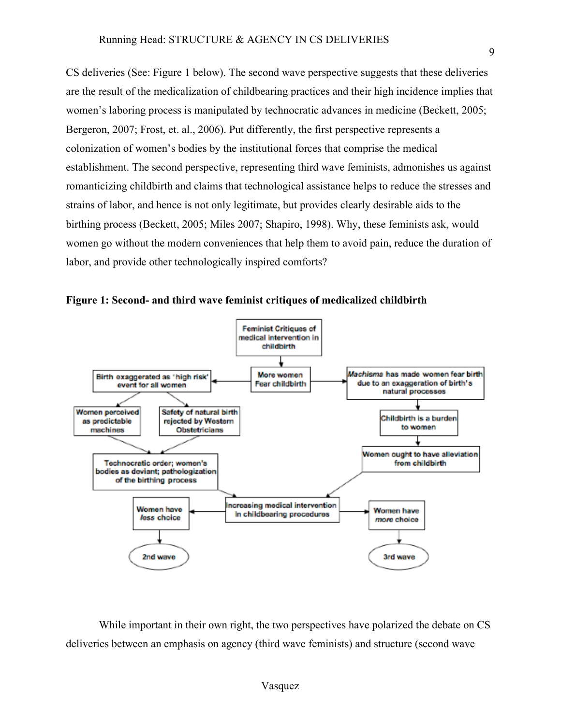CS deliveries (See: Figure 1 below). The second wave perspective suggests that these deliveries are the result of the medicalization of childbearing practices and their high incidence implies that women's laboring process is manipulated by technocratic advances in medicine (Beckett, 2005; Bergeron, 2007; Frost, et. al., 2006). Put differently, the first perspective represents a colonization of women's bodies by the institutional forces that comprise the medical establishment. The second perspective, representing third wave feminists, admonishes us against romanticizing childbirth and claims that technological assistance helps to reduce the stresses and strains of labor, and hence is not only legitimate, but provides clearly desirable aids to the birthing process (Beckett, 2005; Miles 2007; Shapiro, 1998). Why, these feminists ask, would women go without the modern conveniences that help them to avoid pain, reduce the duration of labor, and provide other technologically inspired comforts?

**Figure 1: Second- and third wave feminist critiques of medicalized childbirth**



While important in their own right, the two perspectives have polarized the debate on CS deliveries between an emphasis on agency (third wave feminists) and structure (second wave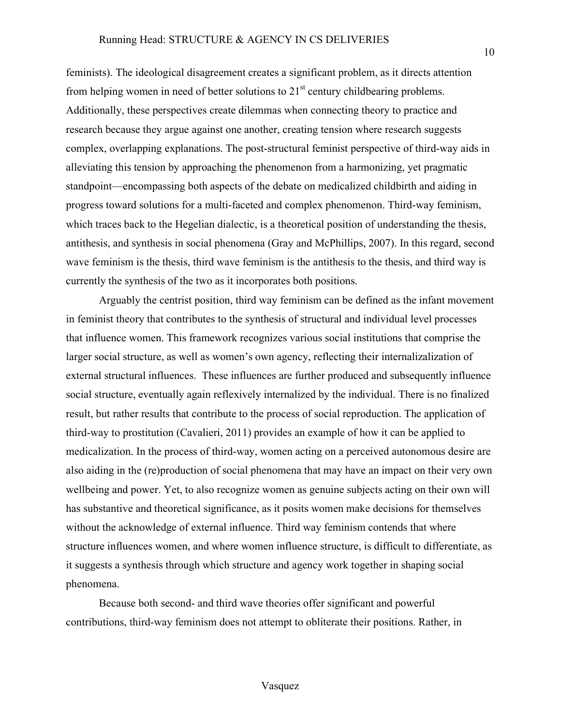feminists). The ideological disagreement creates a significant problem, as it directs attention from helping women in need of better solutions to  $21<sup>st</sup>$  century childbearing problems. Additionally, these perspectives create dilemmas when connecting theory to practice and research because they argue against one another, creating tension where research suggests complex, overlapping explanations. The post-structural feminist perspective of third-way aids in alleviating this tension by approaching the phenomenon from a harmonizing, yet pragmatic standpoint—encompassing both aspects of the debate on medicalized childbirth and aiding in progress toward solutions for a multi-faceted and complex phenomenon. Third-way feminism, which traces back to the Hegelian dialectic, is a theoretical position of understanding the thesis, antithesis, and synthesis in social phenomena (Gray and McPhillips, 2007). In this regard, second

wave feminism is the thesis, third wave feminism is the antithesis to the thesis, and third way is currently the synthesis of the two as it incorporates both positions.

Arguably the centrist position, third way feminism can be defined as the infant movement in feminist theory that contributes to the synthesis of structural and individual level processes that influence women. This framework recognizes various social institutions that comprise the larger social structure, as well as women's own agency, reflecting their internalizalization of external structural influences. These influences are further produced and subsequently influence social structure, eventually again reflexively internalized by the individual. There is no finalized result, but rather results that contribute to the process of social reproduction. The application of third-way to prostitution (Cavalieri, 2011) provides an example of how it can be applied to medicalization. In the process of third-way, women acting on a perceived autonomous desire are also aiding in the (re)production of social phenomena that may have an impact on their very own wellbeing and power. Yet, to also recognize women as genuine subjects acting on their own will has substantive and theoretical significance, as it posits women make decisions for themselves without the acknowledge of external influence. Third way feminism contends that where structure influences women, and where women influence structure, is difficult to differentiate, as it suggests a synthesis through which structure and agency work together in shaping social phenomena.

Because both second- and third wave theories offer significant and powerful contributions, third-way feminism does not attempt to obliterate their positions. Rather, in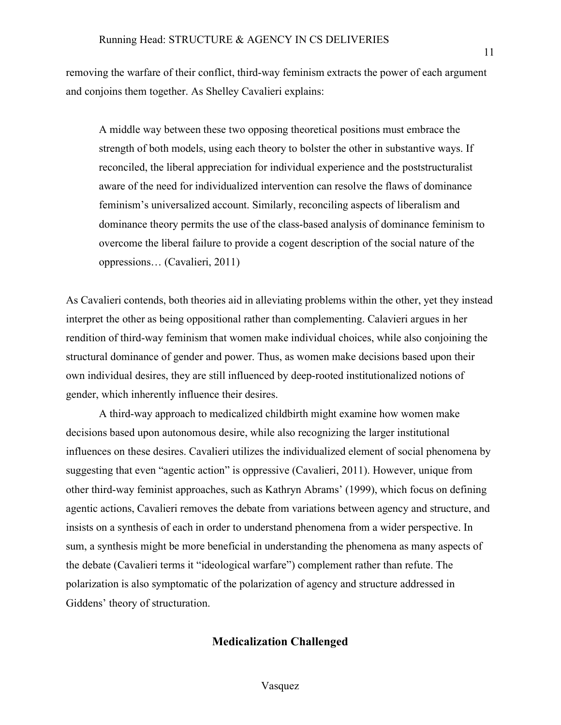removing the warfare of their conflict, third-way feminism extracts the power of each argument and conjoins them together. As Shelley Cavalieri explains:

A middle way between these two opposing theoretical positions must embrace the strength of both models, using each theory to bolster the other in substantive ways. If reconciled, the liberal appreciation for individual experience and the poststructuralist aware of the need for individualized intervention can resolve the flaws of dominance feminism's universalized account. Similarly, reconciling aspects of liberalism and dominance theory permits the use of the class-based analysis of dominance feminism to overcome the liberal failure to provide a cogent description of the social nature of the oppressions… (Cavalieri, 2011)

As Cavalieri contends, both theories aid in alleviating problems within the other, yet they instead interpret the other as being oppositional rather than complementing. Calavieri argues in her rendition of third-way feminism that women make individual choices, while also conjoining the structural dominance of gender and power. Thus, as women make decisions based upon their own individual desires, they are still influenced by deep-rooted institutionalized notions of gender, which inherently influence their desires.

A third-way approach to medicalized childbirth might examine how women make decisions based upon autonomous desire, while also recognizing the larger institutional influences on these desires. Cavalieri utilizes the individualized element of social phenomena by suggesting that even "agentic action" is oppressive (Cavalieri, 2011). However, unique from other third-way feminist approaches, such as Kathryn Abrams' (1999), which focus on defining agentic actions, Cavalieri removes the debate from variations between agency and structure, and insists on a synthesis of each in order to understand phenomena from a wider perspective. In sum, a synthesis might be more beneficial in understanding the phenomena as many aspects of the debate (Cavalieri terms it "ideological warfare") complement rather than refute. The polarization is also symptomatic of the polarization of agency and structure addressed in Giddens' theory of structuration.

## **Medicalization Challenged**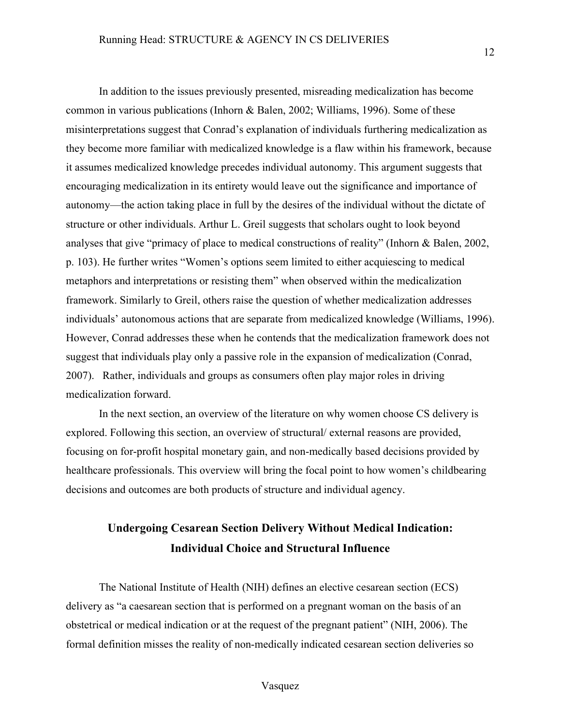In addition to the issues previously presented, misreading medicalization has become common in various publications (Inhorn & Balen, 2002; Williams, 1996). Some of these misinterpretations suggest that Conrad's explanation of individuals furthering medicalization as they become more familiar with medicalized knowledge is a flaw within his framework, because it assumes medicalized knowledge precedes individual autonomy. This argument suggests that encouraging medicalization in its entirety would leave out the significance and importance of autonomy—the action taking place in full by the desires of the individual without the dictate of structure or other individuals. Arthur L. Greil suggests that scholars ought to look beyond analyses that give "primacy of place to medical constructions of reality" (Inhorn & Balen, 2002, p. 103). He further writes "Women's options seem limited to either acquiescing to medical metaphors and interpretations or resisting them" when observed within the medicalization framework. Similarly to Greil, others raise the question of whether medicalization addresses individuals' autonomous actions that are separate from medicalized knowledge (Williams, 1996). However, Conrad addresses these when he contends that the medicalization framework does not suggest that individuals play only a passive role in the expansion of medicalization (Conrad, 2007). Rather, individuals and groups as consumers often play major roles in driving medicalization forward.

In the next section, an overview of the literature on why women choose CS delivery is explored. Following this section, an overview of structural/ external reasons are provided, focusing on for-profit hospital monetary gain, and non-medically based decisions provided by healthcare professionals. This overview will bring the focal point to how women's childbearing decisions and outcomes are both products of structure and individual agency.

# **Undergoing Cesarean Section Delivery Without Medical Indication: Individual Choice and Structural Influence**

The National Institute of Health (NIH) defines an elective cesarean section (ECS) delivery as "a caesarean section that is performed on a pregnant woman on the basis of an obstetrical or medical indication or at the request of the pregnant patient" (NIH, 2006). The formal definition misses the reality of non-medically indicated cesarean section deliveries so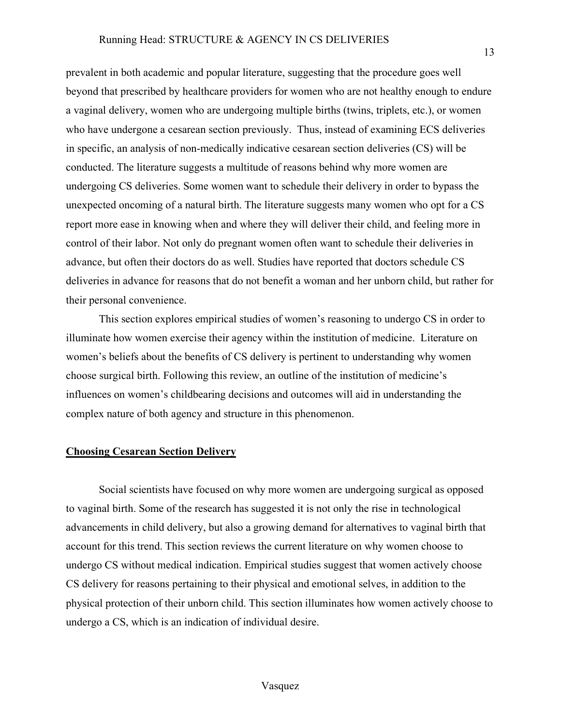prevalent in both academic and popular literature, suggesting that the procedure goes well beyond that prescribed by healthcare providers for women who are not healthy enough to endure a vaginal delivery, women who are undergoing multiple births (twins, triplets, etc.), or women who have undergone a cesarean section previously. Thus, instead of examining ECS deliveries in specific, an analysis of non-medically indicative cesarean section deliveries (CS) will be conducted. The literature suggests a multitude of reasons behind why more women are undergoing CS deliveries. Some women want to schedule their delivery in order to bypass the unexpected oncoming of a natural birth. The literature suggests many women who opt for a CS report more ease in knowing when and where they will deliver their child, and feeling more in control of their labor. Not only do pregnant women often want to schedule their deliveries in advance, but often their doctors do as well. Studies have reported that doctors schedule CS deliveries in advance for reasons that do not benefit a woman and her unborn child, but rather for their personal convenience.

This section explores empirical studies of women's reasoning to undergo CS in order to illuminate how women exercise their agency within the institution of medicine. Literature on women's beliefs about the benefits of CS delivery is pertinent to understanding why women choose surgical birth. Following this review, an outline of the institution of medicine's influences on women's childbearing decisions and outcomes will aid in understanding the complex nature of both agency and structure in this phenomenon.

#### **Choosing Cesarean Section Delivery**

Social scientists have focused on why more women are undergoing surgical as opposed to vaginal birth. Some of the research has suggested it is not only the rise in technological advancements in child delivery, but also a growing demand for alternatives to vaginal birth that account for this trend. This section reviews the current literature on why women choose to undergo CS without medical indication. Empirical studies suggest that women actively choose CS delivery for reasons pertaining to their physical and emotional selves, in addition to the physical protection of their unborn child. This section illuminates how women actively choose to undergo a CS, which is an indication of individual desire.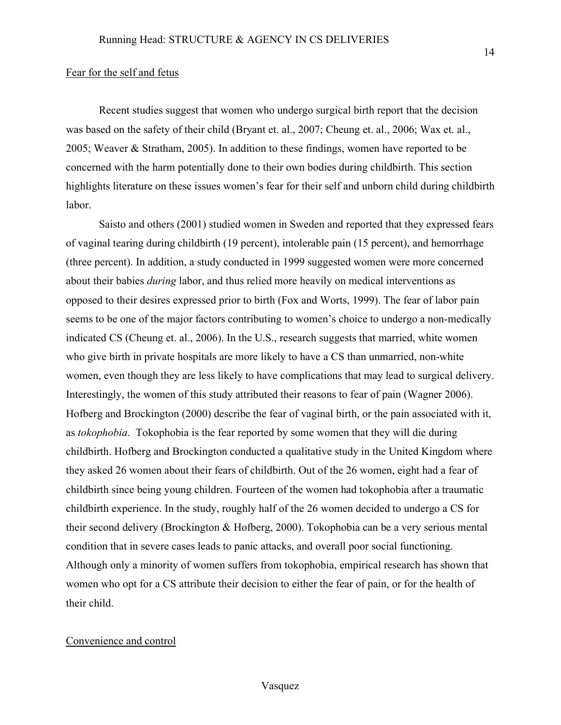### Fear for the self and fetus

Recent studies suggest that women who undergo surgical birth report that the decision was based on the safety of their child (Bryant et. al., 2007; Cheung et. al., 2006; Wax et. al., 2005; Weaver & Stratham, 2005). In addition to these findings, women have reported to be concerned with the harm potentially done to their own bodies during childbirth. This section highlights literature on these issues women's fear for their self and unborn child during childbirth labor.

Saisto and others (2001) studied women in Sweden and reported that they expressed fears of vaginal tearing during childbirth (19 percent), intolerable pain (15 percent), and hemorrhage (three percent). In addition, a study conducted in 1999 suggested women were more concerned about their babies *during* labor, and thus relied more heavily on medical interventions as opposed to their desires expressed prior to birth (Fox and Worts, 1999). The fear of labor pain seems to be one of the major factors contributing to women's choice to undergo a non-medically indicated CS (Cheung et. al., 2006). In the U.S., research suggests that married, white women who give birth in private hospitals are more likely to have a CS than unmarried, non-white women, even though they are less likely to have complications that may lead to surgical delivery. Interestingly, the women of this study attributed their reasons to fear of pain (Wagner 2006). Hofberg and Brockington (2000) describe the fear of vaginal birth, or the pain associated with it, as *tokophobia*. Tokophobia is the fear reported by some women that they will die during childbirth. Hofberg and Brockington conducted a qualitative study in the United Kingdom where they asked 26 women about their fears of childbirth. Out of the 26 women, eight had a fear of childbirth since being young children. Fourteen of the women had tokophobia after a traumatic childbirth experience. In the study, roughly half of the 26 women decided to undergo a CS for their second delivery (Brockington & Hofberg, 2000). Tokophobia can be a very serious mental condition that in severe cases leads to panic attacks, and overall poor social functioning. Although only a minority of women suffers from tokophobia, empirical research has shown that women who opt for a CS attribute their decision to either the fear of pain, or for the health of their child.

#### Convenience and control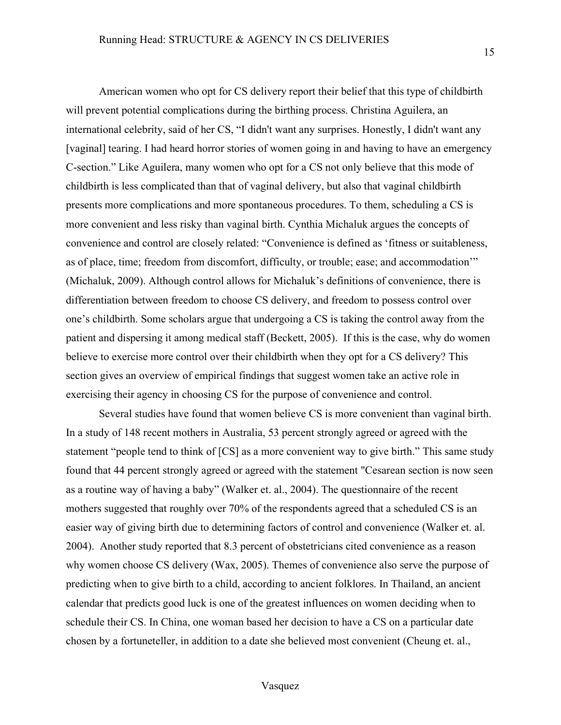American women who opt for CS delivery report their belief that this type of childbirth will prevent potential complications during the birthing process. Christina Aguilera, an international celebrity, said of her CS, "I didn't want any surprises. Honestly, I didn't want any [vaginal] tearing. I had heard horror stories of women going in and having to have an emergency C-section." Like Aguilera, many women who opt for a CS not only believe that this mode of childbirth is less complicated than that of vaginal delivery, but also that vaginal childbirth presents more complications and more spontaneous procedures. To them, scheduling a CS is more convenient and less risky than vaginal birth. Cynthia Michaluk argues the concepts of convenience and control are closely related: "Convenience is defined as 'fitness or suitableness, as of place, time; freedom from discomfort, difficulty, or trouble; ease; and accommodation'" (Michaluk, 2009). Although control allows for Michaluk's definitions of convenience, there is differentiation between freedom to choose CS delivery, and freedom to possess control over one's childbirth. Some scholars argue that undergoing a CS is taking the control away from the patient and dispersing it among medical staff (Beckett, 2005). If this is the case, why do women believe to exercise more control over their childbirth when they opt for a CS delivery? This section gives an overview of empirical findings that suggest women take an active role in exercising their agency in choosing CS for the purpose of convenience and control.

Several studies have found that women believe CS is more convenient than vaginal birth. In a study of 148 recent mothers in Australia, 53 percent strongly agreed or agreed with the statement "people tend to think of [CS] as a more convenient way to give birth." This same study found that 44 percent strongly agreed or agreed with the statement "Cesarean section is now seen as a routine way of having a baby" (Walker et. al., 2004). The questionnaire of the recent mothers suggested that roughly over 70% of the respondents agreed that a scheduled CS is an easier way of giving birth due to determining factors of control and convenience (Walker et. al. 2004). Another study reported that 8.3 percent of obstetricians cited convenience as a reason why women choose CS delivery (Wax, 2005). Themes of convenience also serve the purpose of predicting when to give birth to a child, according to ancient folklores. In Thailand, an ancient calendar that predicts good luck is one of the greatest influences on women deciding when to schedule their CS. In China, one woman based her decision to have a CS on a particular date chosen by a fortuneteller, in addition to a date she believed most convenient (Cheung et. al.,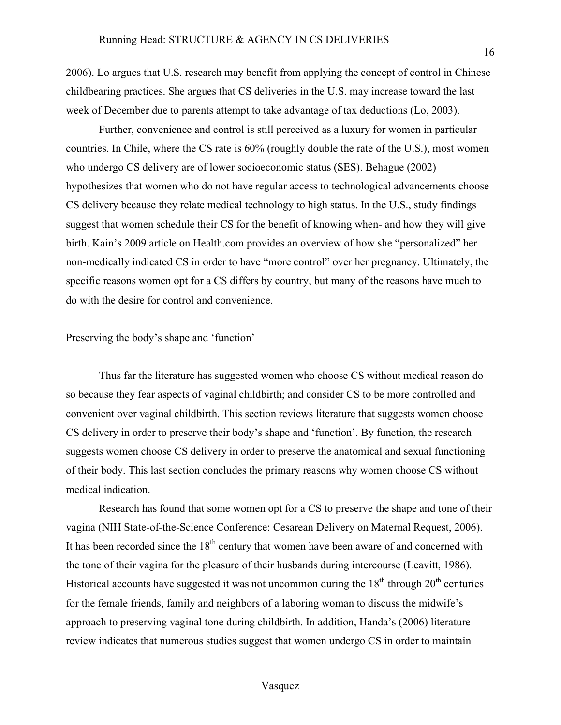2006). Lo argues that U.S. research may benefit from applying the concept of control in Chinese childbearing practices. She argues that CS deliveries in the U.S. may increase toward the last week of December due to parents attempt to take advantage of tax deductions (Lo, 2003).

Further, convenience and control is still perceived as a luxury for women in particular countries. In Chile, where the CS rate is 60% (roughly double the rate of the U.S.), most women who undergo CS delivery are of lower socioeconomic status (SES). Behague (2002) hypothesizes that women who do not have regular access to technological advancements choose CS delivery because they relate medical technology to high status. In the U.S., study findings suggest that women schedule their CS for the benefit of knowing when- and how they will give birth. Kain's 2009 article on Health.com provides an overview of how she "personalized" her non-medically indicated CS in order to have "more control" over her pregnancy. Ultimately, the specific reasons women opt for a CS differs by country, but many of the reasons have much to do with the desire for control and convenience.

### Preserving the body's shape and 'function'

Thus far the literature has suggested women who choose CS without medical reason do so because they fear aspects of vaginal childbirth; and consider CS to be more controlled and convenient over vaginal childbirth. This section reviews literature that suggests women choose CS delivery in order to preserve their body's shape and 'function'. By function, the research suggests women choose CS delivery in order to preserve the anatomical and sexual functioning of their body. This last section concludes the primary reasons why women choose CS without medical indication.

Research has found that some women opt for a CS to preserve the shape and tone of their vagina (NIH State-of-the-Science Conference: Cesarean Delivery on Maternal Request, 2006). It has been recorded since the  $18<sup>th</sup>$  century that women have been aware of and concerned with the tone of their vagina for the pleasure of their husbands during intercourse (Leavitt, 1986). Historical accounts have suggested it was not uncommon during the  $18<sup>th</sup>$  through  $20<sup>th</sup>$  centuries for the female friends, family and neighbors of a laboring woman to discuss the midwife's approach to preserving vaginal tone during childbirth. In addition, Handa's (2006) literature review indicates that numerous studies suggest that women undergo CS in order to maintain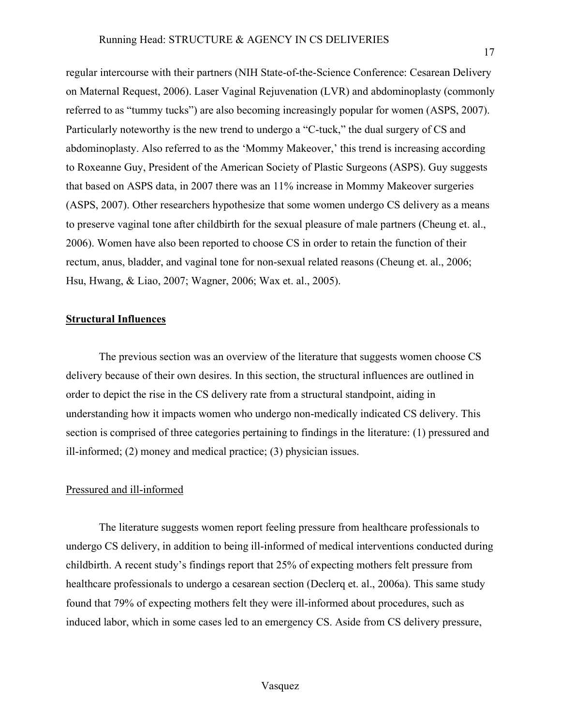regular intercourse with their partners (NIH State-of-the-Science Conference: Cesarean Delivery on Maternal Request, 2006). Laser Vaginal Rejuvenation (LVR) and abdominoplasty (commonly referred to as "tummy tucks") are also becoming increasingly popular for women (ASPS, 2007). Particularly noteworthy is the new trend to undergo a "C-tuck," the dual surgery of CS and

abdominoplasty. Also referred to as the 'Mommy Makeover,' this trend is increasing according to Roxeanne Guy, President of the American Society of Plastic Surgeons (ASPS). Guy suggests that based on ASPS data, in 2007 there was an 11% increase in Mommy Makeover surgeries (ASPS, 2007). Other researchers hypothesize that some women undergo CS delivery as a means to preserve vaginal tone after childbirth for the sexual pleasure of male partners (Cheung et. al., 2006). Women have also been reported to choose CS in order to retain the function of their rectum, anus, bladder, and vaginal tone for non-sexual related reasons (Cheung et. al., 2006; Hsu, Hwang, & Liao, 2007; Wagner, 2006; Wax et. al., 2005).

## **Structural Influences**

The previous section was an overview of the literature that suggests women choose CS delivery because of their own desires. In this section, the structural influences are outlined in order to depict the rise in the CS delivery rate from a structural standpoint, aiding in understanding how it impacts women who undergo non-medically indicated CS delivery. This section is comprised of three categories pertaining to findings in the literature: (1) pressured and ill-informed; (2) money and medical practice; (3) physician issues.

## Pressured and ill-informed

The literature suggests women report feeling pressure from healthcare professionals to undergo CS delivery, in addition to being ill-informed of medical interventions conducted during childbirth. A recent study's findings report that 25% of expecting mothers felt pressure from healthcare professionals to undergo a cesarean section (Declerq et. al., 2006a). This same study found that 79% of expecting mothers felt they were ill-informed about procedures, such as induced labor, which in some cases led to an emergency CS. Aside from CS delivery pressure,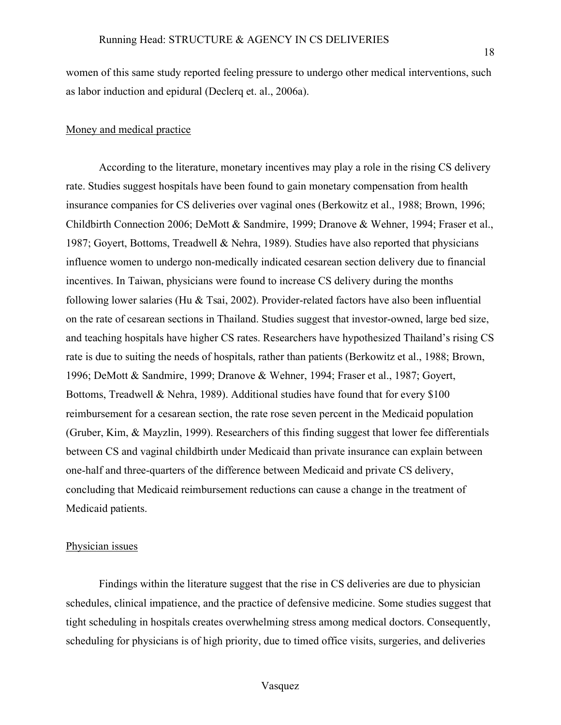women of this same study reported feeling pressure to undergo other medical interventions, such as labor induction and epidural (Declerq et. al., 2006a).

#### Money and medical practice

According to the literature, monetary incentives may play a role in the rising CS delivery rate. Studies suggest hospitals have been found to gain monetary compensation from health insurance companies for CS deliveries over vaginal ones (Berkowitz et al., 1988; Brown, 1996; Childbirth Connection 2006; DeMott & Sandmire, 1999; Dranove & Wehner, 1994; Fraser et al., 1987; Goyert, Bottoms, Treadwell & Nehra, 1989). Studies have also reported that physicians influence women to undergo non-medically indicated cesarean section delivery due to financial incentives. In Taiwan, physicians were found to increase CS delivery during the months following lower salaries (Hu & Tsai, 2002). Provider-related factors have also been influential on the rate of cesarean sections in Thailand. Studies suggest that investor-owned, large bed size, and teaching hospitals have higher CS rates. Researchers have hypothesized Thailand's rising CS rate is due to suiting the needs of hospitals, rather than patients (Berkowitz et al., 1988; Brown, 1996; DeMott & Sandmire, 1999; Dranove & Wehner, 1994; Fraser et al., 1987; Goyert, Bottoms, Treadwell & Nehra, 1989). Additional studies have found that for every \$100 reimbursement for a cesarean section, the rate rose seven percent in the Medicaid population (Gruber, Kim, & Mayzlin, 1999). Researchers of this finding suggest that lower fee differentials between CS and vaginal childbirth under Medicaid than private insurance can explain between one-half and three-quarters of the difference between Medicaid and private CS delivery, concluding that Medicaid reimbursement reductions can cause a change in the treatment of Medicaid patients.

#### Physician issues

Findings within the literature suggest that the rise in CS deliveries are due to physician schedules, clinical impatience, and the practice of defensive medicine. Some studies suggest that tight scheduling in hospitals creates overwhelming stress among medical doctors. Consequently, scheduling for physicians is of high priority, due to timed office visits, surgeries, and deliveries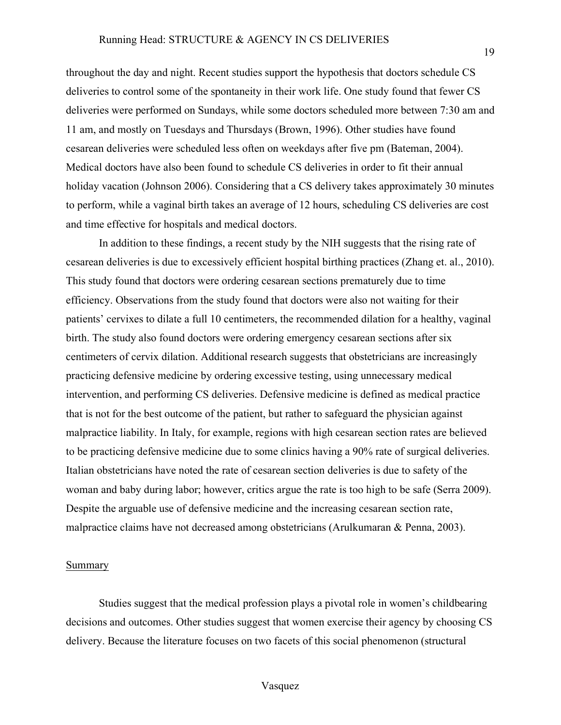throughout the day and night. Recent studies support the hypothesis that doctors schedule CS deliveries to control some of the spontaneity in their work life. One study found that fewer CS deliveries were performed on Sundays, while some doctors scheduled more between 7:30 am and 11 am, and mostly on Tuesdays and Thursdays (Brown, 1996). Other studies have found cesarean deliveries were scheduled less often on weekdays after five pm (Bateman, 2004). Medical doctors have also been found to schedule CS deliveries in order to fit their annual holiday vacation (Johnson 2006). Considering that a CS delivery takes approximately 30 minutes to perform, while a vaginal birth takes an average of 12 hours, scheduling CS deliveries are cost and time effective for hospitals and medical doctors.

In addition to these findings, a recent study by the NIH suggests that the rising rate of cesarean deliveries is due to excessively efficient hospital birthing practices (Zhang et. al., 2010). This study found that doctors were ordering cesarean sections prematurely due to time efficiency. Observations from the study found that doctors were also not waiting for their patients' cervixes to dilate a full 10 centimeters, the recommended dilation for a healthy, vaginal birth. The study also found doctors were ordering emergency cesarean sections after six centimeters of cervix dilation. Additional research suggests that obstetricians are increasingly practicing defensive medicine by ordering excessive testing, using unnecessary medical intervention, and performing CS deliveries. Defensive medicine is defined as medical practice that is not for the best outcome of the patient, but rather to safeguard the physician against malpractice liability. In Italy, for example, regions with high cesarean section rates are believed to be practicing defensive medicine due to some clinics having a 90% rate of surgical deliveries. Italian obstetricians have noted the rate of cesarean section deliveries is due to safety of the woman and baby during labor; however, critics argue the rate is too high to be safe (Serra 2009). Despite the arguable use of defensive medicine and the increasing cesarean section rate, malpractice claims have not decreased among obstetricians (Arulkumaran & Penna, 2003).

#### Summary

Studies suggest that the medical profession plays a pivotal role in women's childbearing decisions and outcomes. Other studies suggest that women exercise their agency by choosing CS delivery. Because the literature focuses on two facets of this social phenomenon (structural

#### Vasquez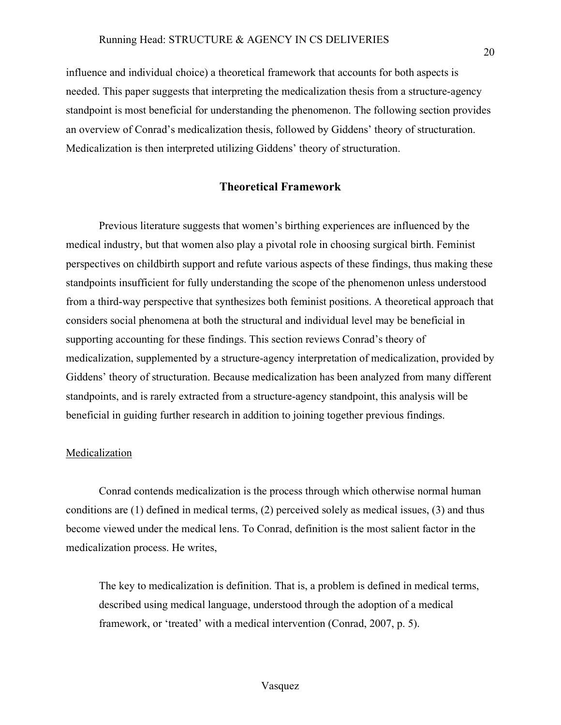influence and individual choice) a theoretical framework that accounts for both aspects is needed. This paper suggests that interpreting the medicalization thesis from a structure-agency standpoint is most beneficial for understanding the phenomenon. The following section provides an overview of Conrad's medicalization thesis, followed by Giddens' theory of structuration. Medicalization is then interpreted utilizing Giddens' theory of structuration.

## **Theoretical Framework**

Previous literature suggests that women's birthing experiences are influenced by the medical industry, but that women also play a pivotal role in choosing surgical birth. Feminist perspectives on childbirth support and refute various aspects of these findings, thus making these standpoints insufficient for fully understanding the scope of the phenomenon unless understood from a third-way perspective that synthesizes both feminist positions. A theoretical approach that considers social phenomena at both the structural and individual level may be beneficial in supporting accounting for these findings. This section reviews Conrad's theory of medicalization, supplemented by a structure-agency interpretation of medicalization, provided by Giddens' theory of structuration. Because medicalization has been analyzed from many different standpoints, and is rarely extracted from a structure-agency standpoint, this analysis will be beneficial in guiding further research in addition to joining together previous findings.

#### Medicalization

Conrad contends medicalization is the process through which otherwise normal human conditions are (1) defined in medical terms, (2) perceived solely as medical issues, (3) and thus become viewed under the medical lens. To Conrad, definition is the most salient factor in the medicalization process. He writes,

The key to medicalization is definition. That is, a problem is defined in medical terms, described using medical language, understood through the adoption of a medical framework, or 'treated' with a medical intervention (Conrad, 2007, p. 5).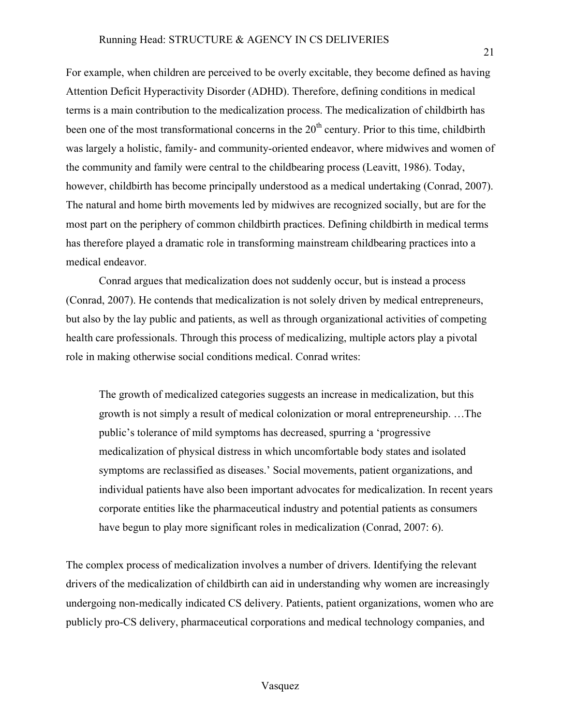For example, when children are perceived to be overly excitable, they become defined as having Attention Deficit Hyperactivity Disorder (ADHD). Therefore, defining conditions in medical terms is a main contribution to the medicalization process. The medicalization of childbirth has been one of the most transformational concerns in the  $20<sup>th</sup>$  century. Prior to this time, childbirth was largely a holistic, family- and community-oriented endeavor, where midwives and women of the community and family were central to the childbearing process (Leavitt, 1986). Today, however, childbirth has become principally understood as a medical undertaking (Conrad, 2007). The natural and home birth movements led by midwives are recognized socially, but are for the most part on the periphery of common childbirth practices. Defining childbirth in medical terms has therefore played a dramatic role in transforming mainstream childbearing practices into a medical endeavor.

Conrad argues that medicalization does not suddenly occur, but is instead a process (Conrad, 2007). He contends that medicalization is not solely driven by medical entrepreneurs, but also by the lay public and patients, as well as through organizational activities of competing health care professionals. Through this process of medicalizing, multiple actors play a pivotal role in making otherwise social conditions medical. Conrad writes:

The growth of medicalized categories suggests an increase in medicalization, but this growth is not simply a result of medical colonization or moral entrepreneurship. …The public's tolerance of mild symptoms has decreased, spurring a 'progressive medicalization of physical distress in which uncomfortable body states and isolated symptoms are reclassified as diseases.' Social movements, patient organizations, and individual patients have also been important advocates for medicalization. In recent years corporate entities like the pharmaceutical industry and potential patients as consumers have begun to play more significant roles in medicalization (Conrad, 2007: 6).

The complex process of medicalization involves a number of drivers. Identifying the relevant drivers of the medicalization of childbirth can aid in understanding why women are increasingly undergoing non-medically indicated CS delivery. Patients, patient organizations, women who are publicly pro-CS delivery, pharmaceutical corporations and medical technology companies, and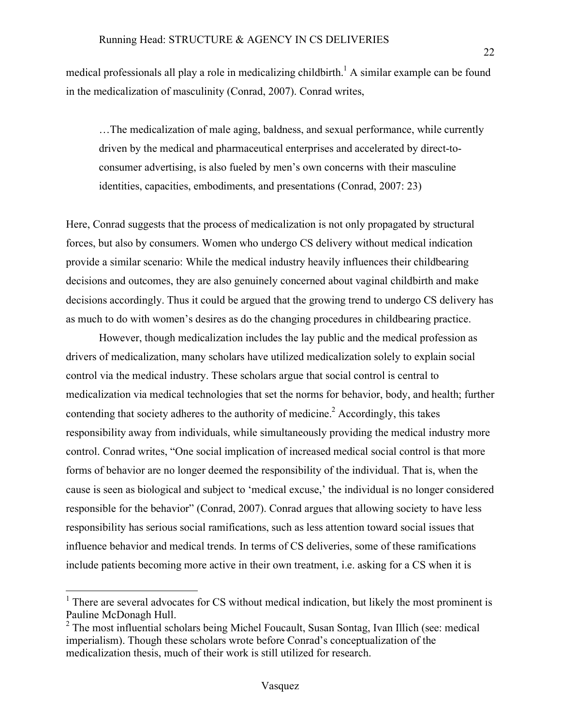medical professionals all play a role in medicalizing childbirth.<sup>1</sup> A similar example can be found in the medicalization of masculinity (Conrad, 2007). Conrad writes,

…The medicalization of male aging, baldness, and sexual performance, while currently driven by the medical and pharmaceutical enterprises and accelerated by direct-toconsumer advertising, is also fueled by men's own concerns with their masculine identities, capacities, embodiments, and presentations (Conrad, 2007: 23)

Here, Conrad suggests that the process of medicalization is not only propagated by structural forces, but also by consumers. Women who undergo CS delivery without medical indication provide a similar scenario: While the medical industry heavily influences their childbearing decisions and outcomes, they are also genuinely concerned about vaginal childbirth and make decisions accordingly. Thus it could be argued that the growing trend to undergo CS delivery has as much to do with women's desires as do the changing procedures in childbearing practice.

However, though medicalization includes the lay public and the medical profession as drivers of medicalization, many scholars have utilized medicalization solely to explain social control via the medical industry. These scholars argue that social control is central to medicalization via medical technologies that set the norms for behavior, body, and health; further contending that society adheres to the authority of medicine. <sup>2</sup> Accordingly, this takes responsibility away from individuals, while simultaneously providing the medical industry more control. Conrad writes, "One social implication of increased medical social control is that more forms of behavior are no longer deemed the responsibility of the individual. That is, when the cause is seen as biological and subject to 'medical excuse,' the individual is no longer considered responsible for the behavior" (Conrad, 2007). Conrad argues that allowing society to have less responsibility has serious social ramifications, such as less attention toward social issues that influence behavior and medical trends. In terms of CS deliveries, some of these ramifications include patients becoming more active in their own treatment, i.e. asking for a CS when it is

<sup>&</sup>lt;sup>1</sup> There are several advocates for CS without medical indication, but likely the most prominent is Pauline McDonagh Hull. <sup>2</sup>

 $2$  The most influential scholars being Michel Foucault, Susan Sontag, Ivan Illich (see: medical imperialism). Though these scholars wrote before Conrad's conceptualization of the medicalization thesis, much of their work is still utilized for research.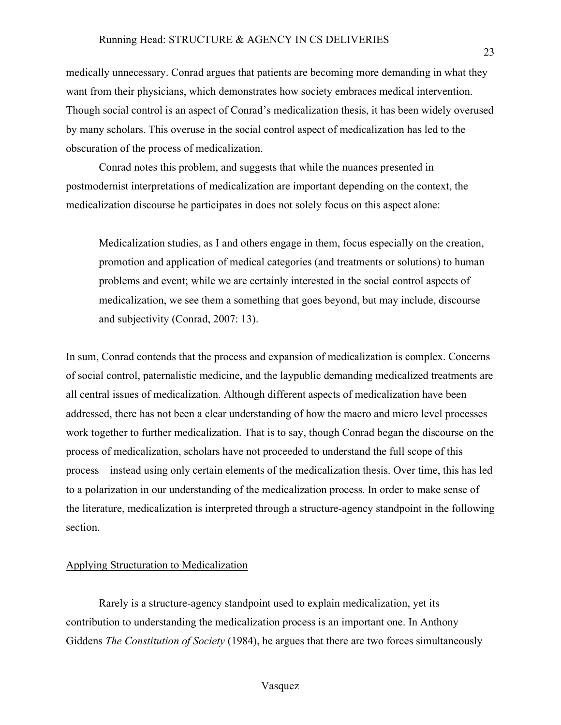medically unnecessary. Conrad argues that patients are becoming more demanding in what they want from their physicians, which demonstrates how society embraces medical intervention. Though social control is an aspect of Conrad's medicalization thesis, it has been widely overused by many scholars. This overuse in the social control aspect of medicalization has led to the obscuration of the process of medicalization.

Conrad notes this problem, and suggests that while the nuances presented in postmodernist interpretations of medicalization are important depending on the context, the medicalization discourse he participates in does not solely focus on this aspect alone:

Medicalization studies, as I and others engage in them, focus especially on the creation, promotion and application of medical categories (and treatments or solutions) to human problems and event; while we are certainly interested in the social control aspects of medicalization, we see them a something that goes beyond, but may include, discourse and subjectivity (Conrad, 2007: 13).

In sum, Conrad contends that the process and expansion of medicalization is complex. Concerns of social control, paternalistic medicine, and the laypublic demanding medicalized treatments are all central issues of medicalization. Although different aspects of medicalization have been addressed, there has not been a clear understanding of how the macro and micro level processes work together to further medicalization. That is to say, though Conrad began the discourse on the process of medicalization, scholars have not proceeded to understand the full scope of this process—instead using only certain elements of the medicalization thesis. Over time, this has led to a polarization in our understanding of the medicalization process. In order to make sense of the literature, medicalization is interpreted through a structure-agency standpoint in the following section.

## Applying Structuration to Medicalization

Rarely is a structure-agency standpoint used to explain medicalization, yet its contribution to understanding the medicalization process is an important one. In Anthony Giddens *The Constitution of Society* (1984), he argues that there are two forces simultaneously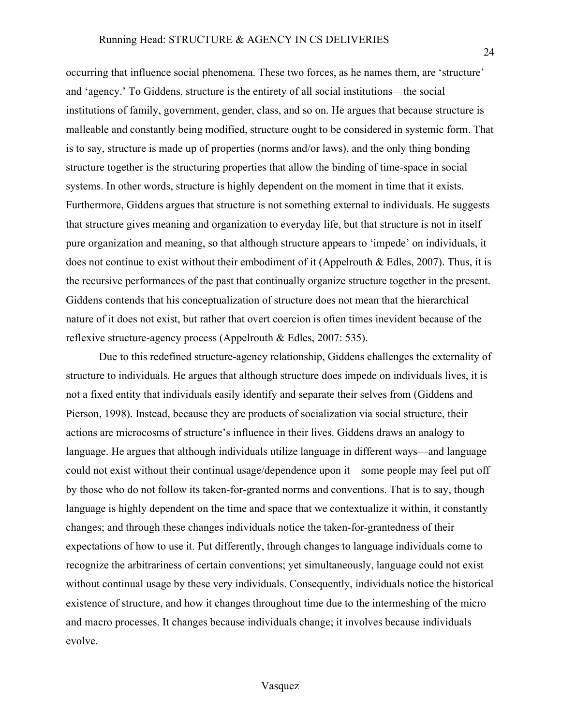occurring that influence social phenomena. These two forces, as he names them, are 'structure' and 'agency.' To Giddens, structure is the entirety of all social institutions—the social institutions of family, government, gender, class, and so on. He argues that because structure is malleable and constantly being modified, structure ought to be considered in systemic form. That is to say, structure is made up of properties (norms and/or laws), and the only thing bonding structure together is the structuring properties that allow the binding of time-space in social systems. In other words, structure is highly dependent on the moment in time that it exists. Furthermore, Giddens argues that structure is not something external to individuals. He suggests that structure gives meaning and organization to everyday life, but that structure is not in itself pure organization and meaning, so that although structure appears to 'impede' on individuals, it does not continue to exist without their embodiment of it (Appelrouth & Edles, 2007). Thus, it is the recursive performances of the past that continually organize structure together in the present. Giddens contends that his conceptualization of structure does not mean that the hierarchical nature of it does not exist, but rather that overt coercion is often times inevident because of the reflexive structure-agency process (Appelrouth & Edles, 2007: 535).

Due to this redefined structure-agency relationship, Giddens challenges the externality of structure to individuals. He argues that although structure does impede on individuals lives, it is not a fixed entity that individuals easily identify and separate their selves from (Giddens and Pierson, 1998). Instead, because they are products of socialization via social structure, their actions are microcosms of structure's influence in their lives. Giddens draws an analogy to language. He argues that although individuals utilize language in different ways—and language could not exist without their continual usage/dependence upon it—some people may feel put off by those who do not follow its taken-for-granted norms and conventions. That is to say, though language is highly dependent on the time and space that we contextualize it within, it constantly changes; and through these changes individuals notice the taken-for-grantedness of their expectations of how to use it. Put differently, through changes to language individuals come to recognize the arbitrariness of certain conventions; yet simultaneously, language could not exist without continual usage by these very individuals. Consequently, individuals notice the historical existence of structure, and how it changes throughout time due to the intermeshing of the micro and macro processes. It changes because individuals change; it involves because individuals evolve.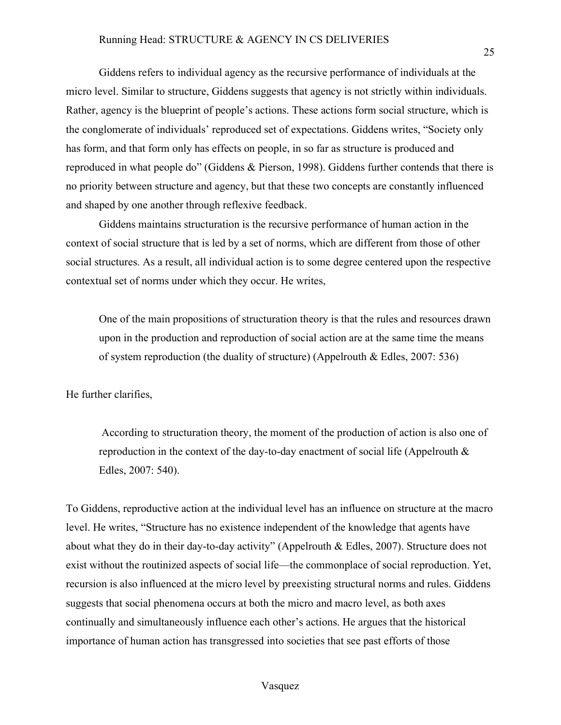## Running Head: STRUCTURE & AGENCY IN CS DELIVERIES

Giddens refers to individual agency as the recursive performance of individuals at the micro level. Similar to structure, Giddens suggests that agency is not strictly within individuals. Rather, agency is the blueprint of people's actions. These actions form social structure, which is the conglomerate of individuals' reproduced set of expectations. Giddens writes, "Society only has form, and that form only has effects on people, in so far as structure is produced and reproduced in what people do" (Giddens & Pierson, 1998). Giddens further contends that there is no priority between structure and agency, but that these two concepts are constantly influenced and shaped by one another through reflexive feedback.

Giddens maintains structuration is the recursive performance of human action in the context of social structure that is led by a set of norms, which are different from those of other social structures. As a result, all individual action is to some degree centered upon the respective contextual set of norms under which they occur. He writes,

One of the main propositions of structuration theory is that the rules and resources drawn upon in the production and reproduction of social action are at the same time the means of system reproduction (the duality of structure) (Appelrouth & Edles, 2007: 536)

He further clarifies,

 According to structuration theory, the moment of the production of action is also one of reproduction in the context of the day-to-day enactment of social life (Appelrouth  $\&$ Edles, 2007: 540).

To Giddens, reproductive action at the individual level has an influence on structure at the macro level. He writes, "Structure has no existence independent of the knowledge that agents have about what they do in their day-to-day activity" (Appelrouth & Edles, 2007). Structure does not exist without the routinized aspects of social life—the commonplace of social reproduction. Yet, recursion is also influenced at the micro level by preexisting structural norms and rules. Giddens suggests that social phenomena occurs at both the micro and macro level, as both axes continually and simultaneously influence each other's actions. He argues that the historical importance of human action has transgressed into societies that see past efforts of those

#### **Vasquez**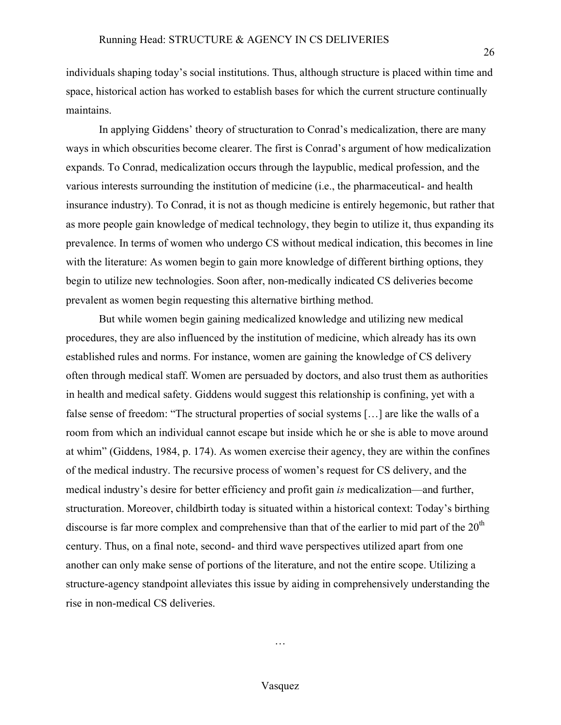26

individuals shaping today's social institutions. Thus, although structure is placed within time and space, historical action has worked to establish bases for which the current structure continually maintains.

In applying Giddens' theory of structuration to Conrad's medicalization, there are many ways in which obscurities become clearer. The first is Conrad's argument of how medicalization expands. To Conrad, medicalization occurs through the laypublic, medical profession, and the various interests surrounding the institution of medicine (i.e., the pharmaceutical- and health insurance industry). To Conrad, it is not as though medicine is entirely hegemonic, but rather that as more people gain knowledge of medical technology, they begin to utilize it, thus expanding its prevalence. In terms of women who undergo CS without medical indication, this becomes in line with the literature: As women begin to gain more knowledge of different birthing options, they begin to utilize new technologies. Soon after, non-medically indicated CS deliveries become prevalent as women begin requesting this alternative birthing method.

But while women begin gaining medicalized knowledge and utilizing new medical procedures, they are also influenced by the institution of medicine, which already has its own established rules and norms. For instance, women are gaining the knowledge of CS delivery often through medical staff. Women are persuaded by doctors, and also trust them as authorities in health and medical safety. Giddens would suggest this relationship is confining, yet with a false sense of freedom: "The structural properties of social systems […] are like the walls of a room from which an individual cannot escape but inside which he or she is able to move around at whim" (Giddens, 1984, p. 174). As women exercise their agency, they are within the confines of the medical industry. The recursive process of women's request for CS delivery, and the medical industry's desire for better efficiency and profit gain *is* medicalization—and further, structuration. Moreover, childbirth today is situated within a historical context: Today's birthing discourse is far more complex and comprehensive than that of the earlier to mid part of the  $20<sup>th</sup>$ century. Thus, on a final note, second- and third wave perspectives utilized apart from one another can only make sense of portions of the literature, and not the entire scope. Utilizing a structure-agency standpoint alleviates this issue by aiding in comprehensively understanding the rise in non-medical CS deliveries.

…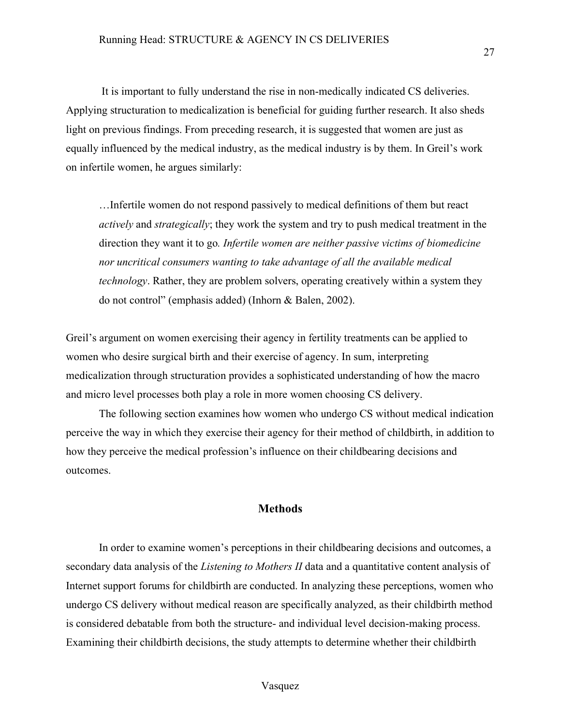It is important to fully understand the rise in non-medically indicated CS deliveries. Applying structuration to medicalization is beneficial for guiding further research. It also sheds light on previous findings. From preceding research, it is suggested that women are just as equally influenced by the medical industry, as the medical industry is by them. In Greil's work on infertile women, he argues similarly:

…Infertile women do not respond passively to medical definitions of them but react *actively* and *strategically*; they work the system and try to push medical treatment in the direction they want it to go*. Infertile women are neither passive victims of biomedicine nor uncritical consumers wanting to take advantage of all the available medical technology*. Rather, they are problem solvers, operating creatively within a system they do not control" (emphasis added) (Inhorn & Balen, 2002).

Greil's argument on women exercising their agency in fertility treatments can be applied to women who desire surgical birth and their exercise of agency. In sum, interpreting medicalization through structuration provides a sophisticated understanding of how the macro and micro level processes both play a role in more women choosing CS delivery.

The following section examines how women who undergo CS without medical indication perceive the way in which they exercise their agency for their method of childbirth, in addition to how they perceive the medical profession's influence on their childbearing decisions and outcomes.

## **Methods**

In order to examine women's perceptions in their childbearing decisions and outcomes, a secondary data analysis of the *Listening to Mothers II* data and a quantitative content analysis of Internet support forums for childbirth are conducted. In analyzing these perceptions, women who undergo CS delivery without medical reason are specifically analyzed, as their childbirth method is considered debatable from both the structure- and individual level decision-making process. Examining their childbirth decisions, the study attempts to determine whether their childbirth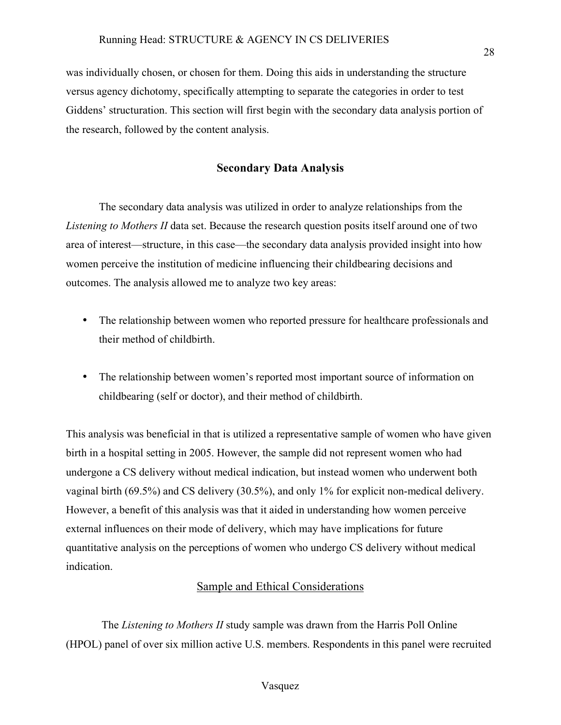was individually chosen, or chosen for them. Doing this aids in understanding the structure versus agency dichotomy, specifically attempting to separate the categories in order to test Giddens' structuration. This section will first begin with the secondary data analysis portion of the research, followed by the content analysis.

## **Secondary Data Analysis**

The secondary data analysis was utilized in order to analyze relationships from the *Listening to Mothers II* data set. Because the research question posits itself around one of two area of interest—structure, in this case—the secondary data analysis provided insight into how women perceive the institution of medicine influencing their childbearing decisions and outcomes. The analysis allowed me to analyze two key areas:

- The relationship between women who reported pressure for healthcare professionals and their method of childbirth.
- The relationship between women's reported most important source of information on childbearing (self or doctor), and their method of childbirth.

This analysis was beneficial in that is utilized a representative sample of women who have given birth in a hospital setting in 2005. However, the sample did not represent women who had undergone a CS delivery without medical indication, but instead women who underwent both vaginal birth (69.5%) and CS delivery (30.5%), and only 1% for explicit non-medical delivery. However, a benefit of this analysis was that it aided in understanding how women perceive external influences on their mode of delivery, which may have implications for future quantitative analysis on the perceptions of women who undergo CS delivery without medical indication.

## Sample and Ethical Considerations

 The *Listening to Mothers II* study sample was drawn from the Harris Poll Online (HPOL) panel of over six million active U.S. members. Respondents in this panel were recruited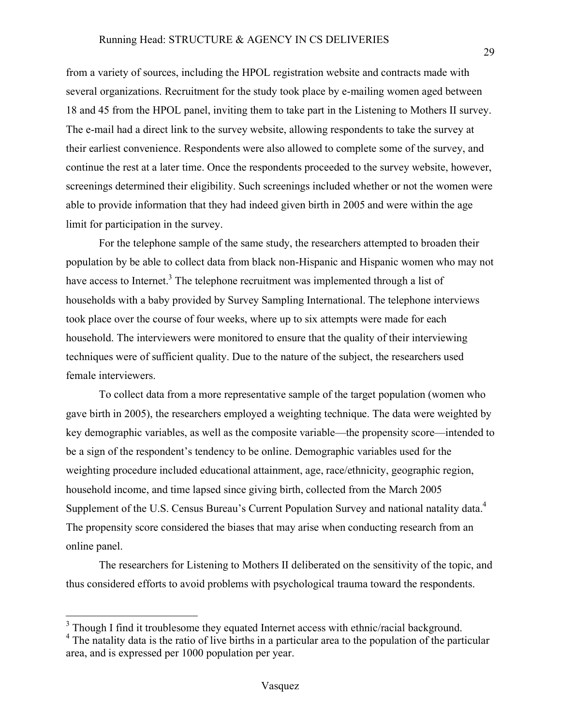from a variety of sources, including the HPOL registration website and contracts made with several organizations. Recruitment for the study took place by e-mailing women aged between 18 and 45 from the HPOL panel, inviting them to take part in the Listening to Mothers II survey. The e-mail had a direct link to the survey website, allowing respondents to take the survey at their earliest convenience. Respondents were also allowed to complete some of the survey, and continue the rest at a later time. Once the respondents proceeded to the survey website, however, screenings determined their eligibility. Such screenings included whether or not the women were able to provide information that they had indeed given birth in 2005 and were within the age limit for participation in the survey.

For the telephone sample of the same study, the researchers attempted to broaden their population by be able to collect data from black non-Hispanic and Hispanic women who may not have access to Internet.<sup>3</sup> The telephone recruitment was implemented through a list of households with a baby provided by Survey Sampling International. The telephone interviews took place over the course of four weeks, where up to six attempts were made for each household. The interviewers were monitored to ensure that the quality of their interviewing techniques were of sufficient quality. Due to the nature of the subject, the researchers used female interviewers.

To collect data from a more representative sample of the target population (women who gave birth in 2005), the researchers employed a weighting technique. The data were weighted by key demographic variables, as well as the composite variable—the propensity score—intended to be a sign of the respondent's tendency to be online. Demographic variables used for the weighting procedure included educational attainment, age, race/ethnicity, geographic region, household income, and time lapsed since giving birth, collected from the March 2005 Supplement of the U.S. Census Bureau's Current Population Survey and national natality data.<sup>4</sup> The propensity score considered the biases that may arise when conducting research from an online panel.

The researchers for Listening to Mothers II deliberated on the sensitivity of the topic, and thus considered efforts to avoid problems with psychological trauma toward the respondents.

<sup>&</sup>lt;sup>3</sup> Though I find it troublesome they equated Internet access with ethnic/racial background.

<sup>&</sup>lt;sup>4</sup> The natality data is the ratio of live births in a particular area to the population of the particular area, and is expressed per 1000 population per year.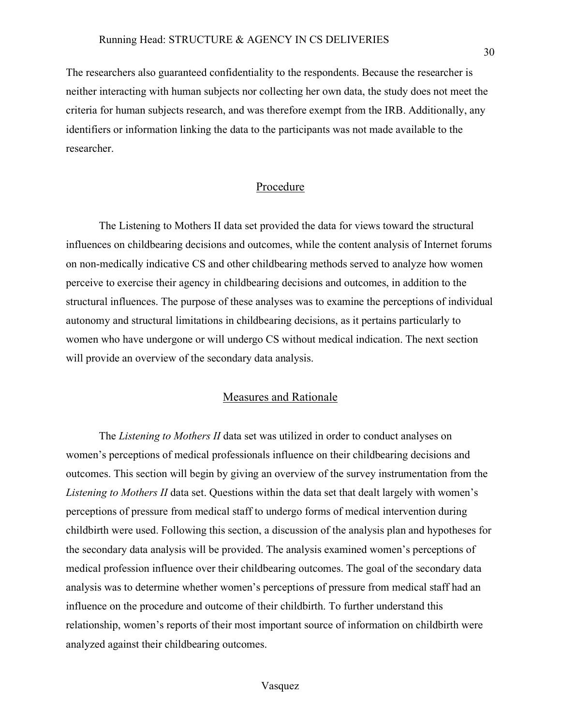The researchers also guaranteed confidentiality to the respondents. Because the researcher is neither interacting with human subjects nor collecting her own data, the study does not meet the criteria for human subjects research, and was therefore exempt from the IRB. Additionally, any identifiers or information linking the data to the participants was not made available to the researcher.

## Procedure

The Listening to Mothers II data set provided the data for views toward the structural influences on childbearing decisions and outcomes, while the content analysis of Internet forums on non-medically indicative CS and other childbearing methods served to analyze how women perceive to exercise their agency in childbearing decisions and outcomes, in addition to the structural influences. The purpose of these analyses was to examine the perceptions of individual autonomy and structural limitations in childbearing decisions, as it pertains particularly to women who have undergone or will undergo CS without medical indication. The next section will provide an overview of the secondary data analysis.

## Measures and Rationale

The *Listening to Mothers II* data set was utilized in order to conduct analyses on women's perceptions of medical professionals influence on their childbearing decisions and outcomes. This section will begin by giving an overview of the survey instrumentation from the *Listening to Mothers II* data set. Questions within the data set that dealt largely with women's perceptions of pressure from medical staff to undergo forms of medical intervention during childbirth were used. Following this section, a discussion of the analysis plan and hypotheses for the secondary data analysis will be provided. The analysis examined women's perceptions of medical profession influence over their childbearing outcomes. The goal of the secondary data analysis was to determine whether women's perceptions of pressure from medical staff had an influence on the procedure and outcome of their childbirth. To further understand this relationship, women's reports of their most important source of information on childbirth were analyzed against their childbearing outcomes.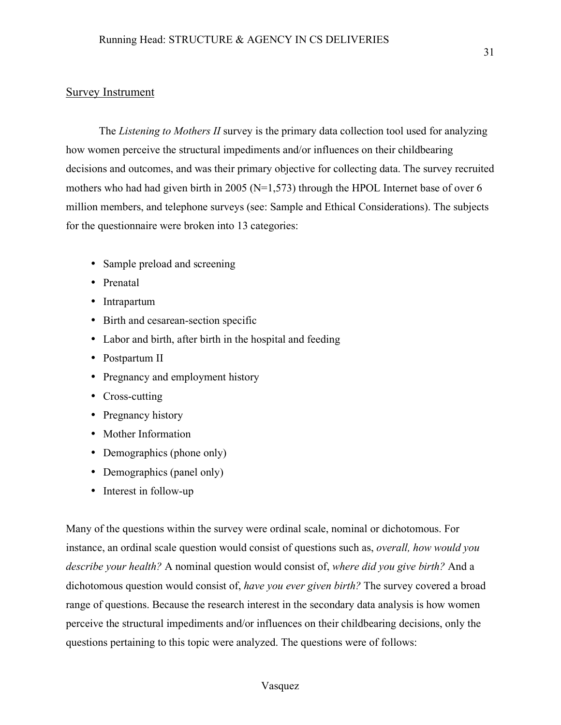## Survey Instrument

The *Listening to Mothers II* survey is the primary data collection tool used for analyzing how women perceive the structural impediments and/or influences on their childbearing decisions and outcomes, and was their primary objective for collecting data. The survey recruited mothers who had had given birth in 2005 (N=1,573) through the HPOL Internet base of over 6 million members, and telephone surveys (see: Sample and Ethical Considerations). The subjects for the questionnaire were broken into 13 categories:

- Sample preload and screening
- Prenatal
- Intrapartum
- Birth and cesarean-section specific
- Labor and birth, after birth in the hospital and feeding
- Postpartum II
- Pregnancy and employment history
- Cross-cutting
- Pregnancy history
- Mother Information
- Demographics (phone only)
- Demographics (panel only)
- Interest in follow-up

Many of the questions within the survey were ordinal scale, nominal or dichotomous. For instance, an ordinal scale question would consist of questions such as, *overall, how would you describe your health?* A nominal question would consist of, *where did you give birth?* And a dichotomous question would consist of, *have you ever given birth?* The survey covered a broad range of questions. Because the research interest in the secondary data analysis is how women perceive the structural impediments and/or influences on their childbearing decisions, only the questions pertaining to this topic were analyzed. The questions were of follows: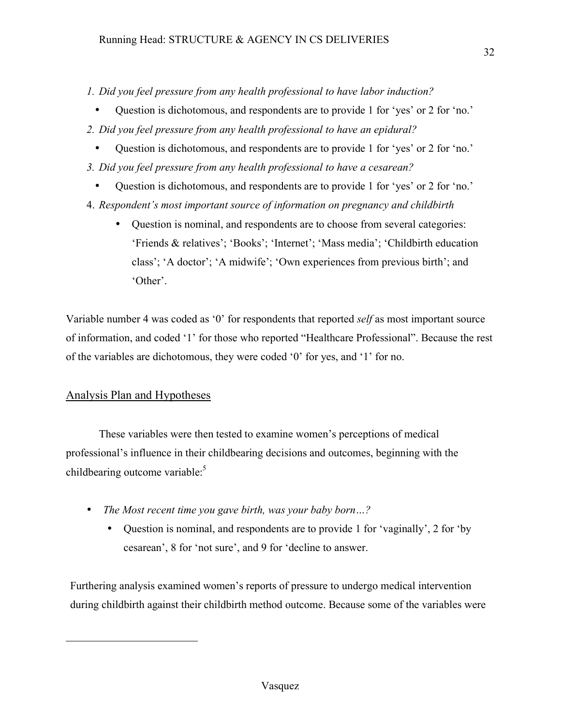- *1. Did you feel pressure from any health professional to have labor induction?*
	- Question is dichotomous, and respondents are to provide 1 for 'yes' or 2 for 'no.'
- *2. Did you feel pressure from any health professional to have an epidural?*
- Question is dichotomous, and respondents are to provide 1 for 'yes' or 2 for 'no.'
- *3. Did you feel pressure from any health professional to have a cesarean?*
	- Question is dichotomous, and respondents are to provide 1 for 'yes' or 2 for 'no.'
- 4. *Respondent's most important source of information on pregnancy and childbirth*
	- Question is nominal, and respondents are to choose from several categories: 'Friends & relatives'; 'Books'; 'Internet'; 'Mass media'; 'Childbirth education class'; 'A doctor'; 'A midwife'; 'Own experiences from previous birth'; and 'Other'.

Variable number 4 was coded as '0' for respondents that reported *self* as most important source of information, and coded '1' for those who reported "Healthcare Professional". Because the rest of the variables are dichotomous, they were coded '0' for yes, and '1' for no.

## Analysis Plan and Hypotheses

 $\overline{a}$ 

These variables were then tested to examine women's perceptions of medical professional's influence in their childbearing decisions and outcomes, beginning with the childbearing outcome variable:<sup>5</sup>

- *The Most recent time you gave birth, was your baby born…?*
	- Question is nominal, and respondents are to provide 1 for 'vaginally', 2 for 'by cesarean', 8 for 'not sure', and 9 for 'decline to answer.

Furthering analysis examined women's reports of pressure to undergo medical intervention during childbirth against their childbirth method outcome. Because some of the variables were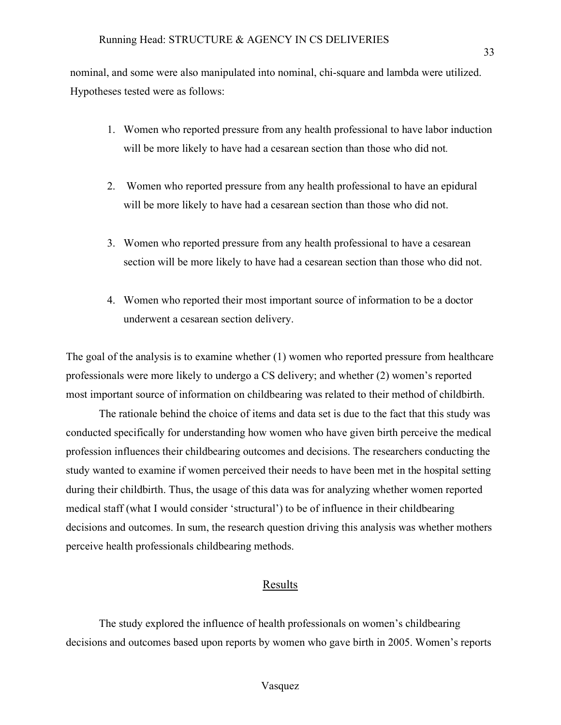nominal, and some were also manipulated into nominal, chi-square and lambda were utilized. Hypotheses tested were as follows:

- 1. Women who reported pressure from any health professional to have labor induction will be more likely to have had a cesarean section than those who did not*.*
- 2. Women who reported pressure from any health professional to have an epidural will be more likely to have had a cesarean section than those who did not.
- 3. Women who reported pressure from any health professional to have a cesarean section will be more likely to have had a cesarean section than those who did not.
- 4. Women who reported their most important source of information to be a doctor underwent a cesarean section delivery.

The goal of the analysis is to examine whether (1) women who reported pressure from healthcare professionals were more likely to undergo a CS delivery; and whether (2) women's reported most important source of information on childbearing was related to their method of childbirth.

The rationale behind the choice of items and data set is due to the fact that this study was conducted specifically for understanding how women who have given birth perceive the medical profession influences their childbearing outcomes and decisions. The researchers conducting the study wanted to examine if women perceived their needs to have been met in the hospital setting during their childbirth. Thus, the usage of this data was for analyzing whether women reported medical staff (what I would consider 'structural') to be of influence in their childbearing decisions and outcomes. In sum, the research question driving this analysis was whether mothers perceive health professionals childbearing methods.

## Results

The study explored the influence of health professionals on women's childbearing decisions and outcomes based upon reports by women who gave birth in 2005. Women's reports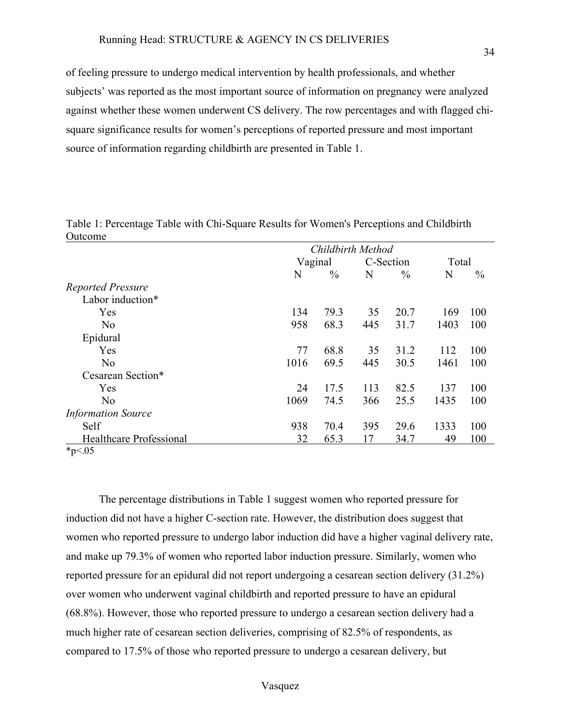of feeling pressure to undergo medical intervention by health professionals, and whether subjects' was reported as the most important source of information on pregnancy were analyzed against whether these women underwent CS delivery. The row percentages and with flagged chisquare significance results for women's perceptions of reported pressure and most important source of information regarding childbirth are presented in Table 1.

| <b>Outcome</b>                 |                   |               |           |               |       |               |
|--------------------------------|-------------------|---------------|-----------|---------------|-------|---------------|
|                                | Childbirth Method |               |           |               |       |               |
|                                | Vaginal           |               | C-Section |               | Total |               |
|                                | N                 | $\frac{0}{0}$ | N         | $\frac{0}{0}$ | N     | $\frac{0}{0}$ |
| <b>Reported Pressure</b>       |                   |               |           |               |       |               |
| Labor induction*               |                   |               |           |               |       |               |
| Yes                            | 134               | 79.3          | 35        | 20.7          | 169   | 100           |
| N <sub>o</sub>                 | 958               | 68.3          | 445       | 31.7          | 1403  | 100           |
| Epidural                       |                   |               |           |               |       |               |
| Yes                            | 77                | 68.8          | 35        | 31.2          | 112   | 100           |
| N <sub>o</sub>                 | 1016              | 69.5          | 445       | 30.5          | 1461  | 100           |
| Cesarean Section*              |                   |               |           |               |       |               |
| Yes                            | 24                | 17.5          | 113       | 82.5          | 137   | 100           |
| N <sub>o</sub>                 | 1069              | 74.5          | 366       | 25.5          | 1435  | 100           |
| <b>Information Source</b>      |                   |               |           |               |       |               |
| Self                           | 938               | 70.4          | 395       | 29.6          | 1333  | 100           |
| <b>Healthcare Professional</b> | 32                | 65.3          | 17        | 34.7          | 49    | 100           |
| $*_{p<.05}$                    |                   |               |           |               |       |               |

Table 1: Percentage Table with Chi-Square Results for Women's Perceptions and Childbirth Outcome

The percentage distributions in Table 1 suggest women who reported pressure for induction did not have a higher C-section rate. However, the distribution does suggest that women who reported pressure to undergo labor induction did have a higher vaginal delivery rate, and make up 79.3% of women who reported labor induction pressure. Similarly, women who reported pressure for an epidural did not report undergoing a cesarean section delivery (31.2%) over women who underwent vaginal childbirth and reported pressure to have an epidural (68.8%). However, those who reported pressure to undergo a cesarean section delivery had a much higher rate of cesarean section deliveries, comprising of 82.5% of respondents, as compared to 17.5% of those who reported pressure to undergo a cesarean delivery, but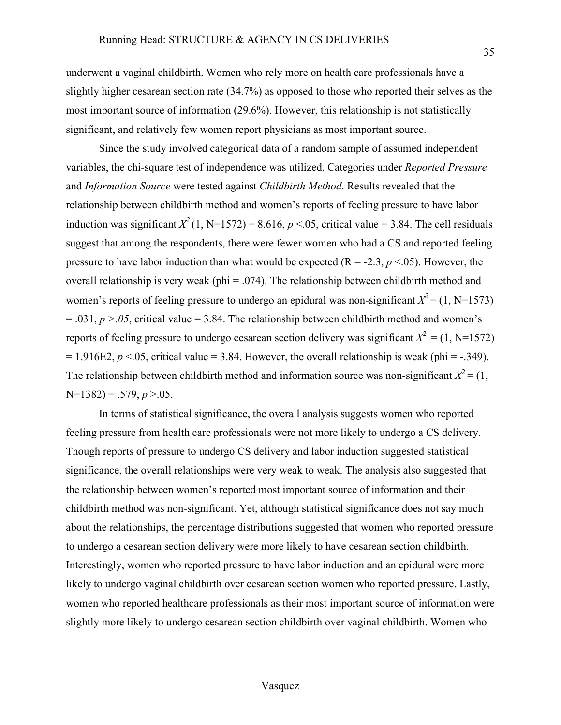underwent a vaginal childbirth. Women who rely more on health care professionals have a slightly higher cesarean section rate (34.7%) as opposed to those who reported their selves as the most important source of information (29.6%). However, this relationship is not statistically significant, and relatively few women report physicians as most important source.

Since the study involved categorical data of a random sample of assumed independent variables, the chi-square test of independence was utilized. Categories under *Reported Pressure* and *Information Source* were tested against *Childbirth Method*. Results revealed that the relationship between childbirth method and women's reports of feeling pressure to have labor induction was significant  $X^2$  (1, N=1572) = 8.616,  $p < 0.05$ , critical value = 3.84. The cell residuals suggest that among the respondents, there were fewer women who had a CS and reported feeling pressure to have labor induction than what would be expected  $(R = -2.3, p < 0.05)$ . However, the overall relationship is very weak (phi = .074). The relationship between childbirth method and women's reports of feeling pressure to undergo an epidural was non-significant  $X^2 = (1, N=1573)$  $= .031, p > .05$ , critical value = 3.84. The relationship between childbirth method and women's reports of feeling pressure to undergo cesarean section delivery was significant  $X^2 = (1, N=1572)$  $= 1.916E2$ ,  $p \le 0.05$ , critical value = 3.84. However, the overall relationship is weak (phi = -.349). The relationship between childbirth method and information source was non-significant  $X^2 = (1, 1)$  $N=1382$ ) = .579, *p* > .05.

In terms of statistical significance, the overall analysis suggests women who reported feeling pressure from health care professionals were not more likely to undergo a CS delivery. Though reports of pressure to undergo CS delivery and labor induction suggested statistical significance, the overall relationships were very weak to weak. The analysis also suggested that the relationship between women's reported most important source of information and their childbirth method was non-significant. Yet, although statistical significance does not say much about the relationships, the percentage distributions suggested that women who reported pressure to undergo a cesarean section delivery were more likely to have cesarean section childbirth. Interestingly, women who reported pressure to have labor induction and an epidural were more likely to undergo vaginal childbirth over cesarean section women who reported pressure. Lastly, women who reported healthcare professionals as their most important source of information were slightly more likely to undergo cesarean section childbirth over vaginal childbirth. Women who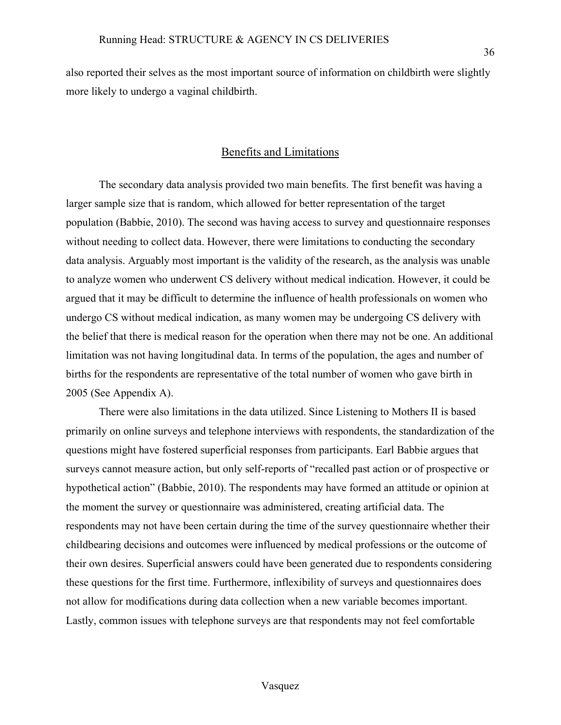also reported their selves as the most important source of information on childbirth were slightly more likely to undergo a vaginal childbirth.

## Benefits and Limitations

The secondary data analysis provided two main benefits. The first benefit was having a larger sample size that is random, which allowed for better representation of the target population (Babbie, 2010). The second was having access to survey and questionnaire responses without needing to collect data. However, there were limitations to conducting the secondary data analysis. Arguably most important is the validity of the research, as the analysis was unable to analyze women who underwent CS delivery without medical indication. However, it could be argued that it may be difficult to determine the influence of health professionals on women who undergo CS without medical indication, as many women may be undergoing CS delivery with the belief that there is medical reason for the operation when there may not be one. An additional limitation was not having longitudinal data. In terms of the population, the ages and number of births for the respondents are representative of the total number of women who gave birth in 2005 (See Appendix A).

There were also limitations in the data utilized. Since Listening to Mothers II is based primarily on online surveys and telephone interviews with respondents, the standardization of the questions might have fostered superficial responses from participants. Earl Babbie argues that surveys cannot measure action, but only self-reports of "recalled past action or of prospective or hypothetical action" (Babbie, 2010). The respondents may have formed an attitude or opinion at the moment the survey or questionnaire was administered, creating artificial data. The respondents may not have been certain during the time of the survey questionnaire whether their childbearing decisions and outcomes were influenced by medical professions or the outcome of their own desires. Superficial answers could have been generated due to respondents considering these questions for the first time. Furthermore, inflexibility of surveys and questionnaires does not allow for modifications during data collection when a new variable becomes important. Lastly, common issues with telephone surveys are that respondents may not feel comfortable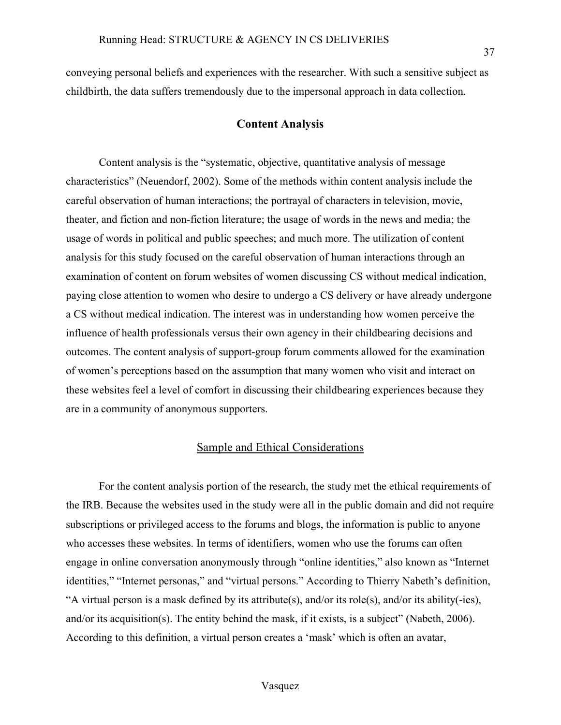conveying personal beliefs and experiences with the researcher. With such a sensitive subject as childbirth, the data suffers tremendously due to the impersonal approach in data collection.

## **Content Analysis**

Content analysis is the "systematic, objective, quantitative analysis of message characteristics" (Neuendorf, 2002). Some of the methods within content analysis include the careful observation of human interactions; the portrayal of characters in television, movie, theater, and fiction and non-fiction literature; the usage of words in the news and media; the usage of words in political and public speeches; and much more. The utilization of content analysis for this study focused on the careful observation of human interactions through an examination of content on forum websites of women discussing CS without medical indication, paying close attention to women who desire to undergo a CS delivery or have already undergone a CS without medical indication. The interest was in understanding how women perceive the influence of health professionals versus their own agency in their childbearing decisions and outcomes. The content analysis of support-group forum comments allowed for the examination of women's perceptions based on the assumption that many women who visit and interact on these websites feel a level of comfort in discussing their childbearing experiences because they are in a community of anonymous supporters.

## Sample and Ethical Considerations

For the content analysis portion of the research, the study met the ethical requirements of the IRB. Because the websites used in the study were all in the public domain and did not require subscriptions or privileged access to the forums and blogs, the information is public to anyone who accesses these websites. In terms of identifiers, women who use the forums can often engage in online conversation anonymously through "online identities," also known as "Internet identities," "Internet personas," and "virtual persons." According to Thierry Nabeth's definition, "A virtual person is a mask defined by its attribute(s), and/or its role(s), and/or its ability(-ies), and/or its acquisition(s). The entity behind the mask, if it exists, is a subject" (Nabeth, 2006). According to this definition, a virtual person creates a 'mask' which is often an avatar,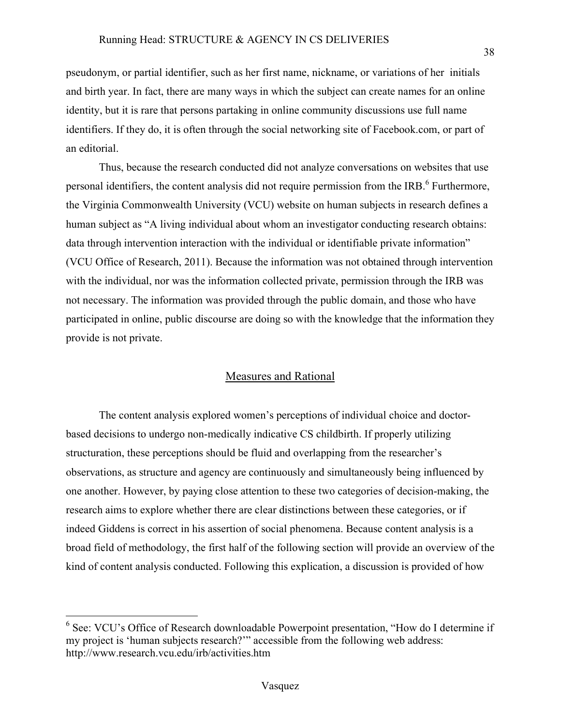pseudonym, or partial identifier, such as her first name, nickname, or variations of her initials and birth year. In fact, there are many ways in which the subject can create names for an online identity, but it is rare that persons partaking in online community discussions use full name identifiers. If they do, it is often through the social networking site of Facebook.com, or part of an editorial.

Thus, because the research conducted did not analyze conversations on websites that use personal identifiers, the content analysis did not require permission from the IRB.<sup>6</sup> Furthermore, the Virginia Commonwealth University (VCU) website on human subjects in research defines a human subject as "A living individual about whom an investigator conducting research obtains: data through intervention interaction with the individual or identifiable private information" (VCU Office of Research, 2011). Because the information was not obtained through intervention with the individual, nor was the information collected private, permission through the IRB was not necessary. The information was provided through the public domain, and those who have participated in online, public discourse are doing so with the knowledge that the information they provide is not private.

## Measures and Rational

The content analysis explored women's perceptions of individual choice and doctorbased decisions to undergo non-medically indicative CS childbirth. If properly utilizing structuration, these perceptions should be fluid and overlapping from the researcher's observations, as structure and agency are continuously and simultaneously being influenced by one another. However, by paying close attention to these two categories of decision-making, the research aims to explore whether there are clear distinctions between these categories, or if indeed Giddens is correct in his assertion of social phenomena. Because content analysis is a broad field of methodology, the first half of the following section will provide an overview of the kind of content analysis conducted. Following this explication, a discussion is provided of how

<sup>&</sup>lt;sup>6</sup> See: VCU's Office of Research downloadable Powerpoint presentation, "How do I determine if my project is 'human subjects research?'" accessible from the following web address: http://www.research.vcu.edu/irb/activities.htm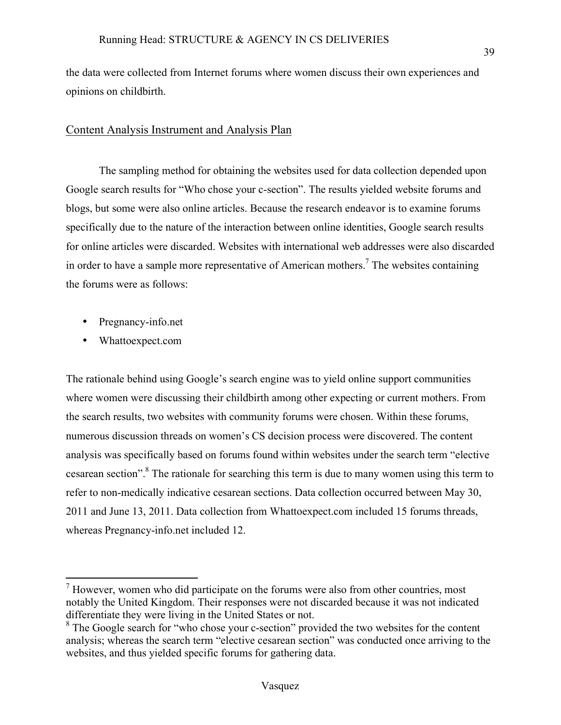the data were collected from Internet forums where women discuss their own experiences and opinions on childbirth.

## Content Analysis Instrument and Analysis Plan

The sampling method for obtaining the websites used for data collection depended upon Google search results for "Who chose your c-section". The results yielded website forums and blogs, but some were also online articles. Because the research endeavor is to examine forums specifically due to the nature of the interaction between online identities, Google search results for online articles were discarded. Websites with international web addresses were also discarded in order to have a sample more representative of American mothers.<sup>7</sup> The websites containing the forums were as follows:

- Pregnancy-info.net
- Whattoexpect.com

The rationale behind using Google's search engine was to yield online support communities where women were discussing their childbirth among other expecting or current mothers. From the search results, two websites with community forums were chosen. Within these forums, numerous discussion threads on women's CS decision process were discovered. The content analysis was specifically based on forums found within websites under the search term "elective cesarean section".<sup>8</sup> The rationale for searching this term is due to many women using this term to refer to non-medically indicative cesarean sections. Data collection occurred between May 30, 2011 and June 13, 2011. Data collection from Whattoexpect.com included 15 forums threads, whereas Pregnancy-info.net included 12.

<sup>&</sup>lt;sup>7</sup> However, women who did participate on the forums were also from other countries, most notably the United Kingdom. Their responses were not discarded because it was not indicated differentiate they were living in the United States or not.

 $8^8$  The Google search for "who chose your c-section" provided the two websites for the content analysis; whereas the search term "elective cesarean section" was conducted once arriving to the websites, and thus yielded specific forums for gathering data.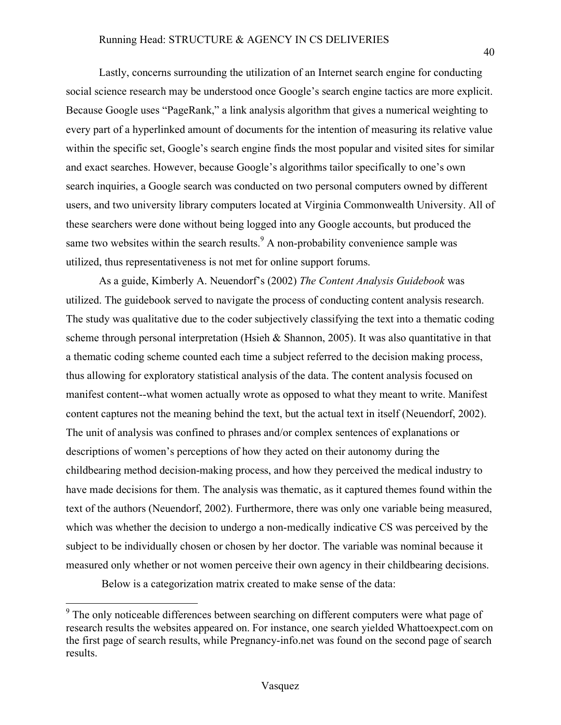Lastly, concerns surrounding the utilization of an Internet search engine for conducting social science research may be understood once Google's search engine tactics are more explicit. Because Google uses "PageRank," a link analysis algorithm that gives a numerical weighting to every part of a hyperlinked amount of documents for the intention of measuring its relative value within the specific set, Google's search engine finds the most popular and visited sites for similar and exact searches. However, because Google's algorithms tailor specifically to one's own search inquiries, a Google search was conducted on two personal computers owned by different users, and two university library computers located at Virginia Commonwealth University. All of these searchers were done without being logged into any Google accounts, but produced the same two websites within the search results. A non-probability convenience sample was utilized, thus representativeness is not met for online support forums.

As a guide, Kimberly A. Neuendorf's (2002) *The Content Analysis Guidebook* was utilized. The guidebook served to navigate the process of conducting content analysis research. The study was qualitative due to the coder subjectively classifying the text into a thematic coding scheme through personal interpretation (Hsieh & Shannon, 2005). It was also quantitative in that a thematic coding scheme counted each time a subject referred to the decision making process, thus allowing for exploratory statistical analysis of the data. The content analysis focused on manifest content--what women actually wrote as opposed to what they meant to write. Manifest content captures not the meaning behind the text, but the actual text in itself (Neuendorf, 2002). The unit of analysis was confined to phrases and/or complex sentences of explanations or descriptions of women's perceptions of how they acted on their autonomy during the childbearing method decision-making process, and how they perceived the medical industry to have made decisions for them. The analysis was thematic, as it captured themes found within the text of the authors (Neuendorf, 2002). Furthermore, there was only one variable being measured, which was whether the decision to undergo a non-medically indicative CS was perceived by the subject to be individually chosen or chosen by her doctor. The variable was nominal because it measured only whether or not women perceive their own agency in their childbearing decisions.

Below is a categorization matrix created to make sense of the data:

<sup>&</sup>lt;sup>9</sup> The only noticeable differences between searching on different computers were what page of research results the websites appeared on. For instance, one search yielded Whattoexpect.com on the first page of search results, while Pregnancy-info.net was found on the second page of search results.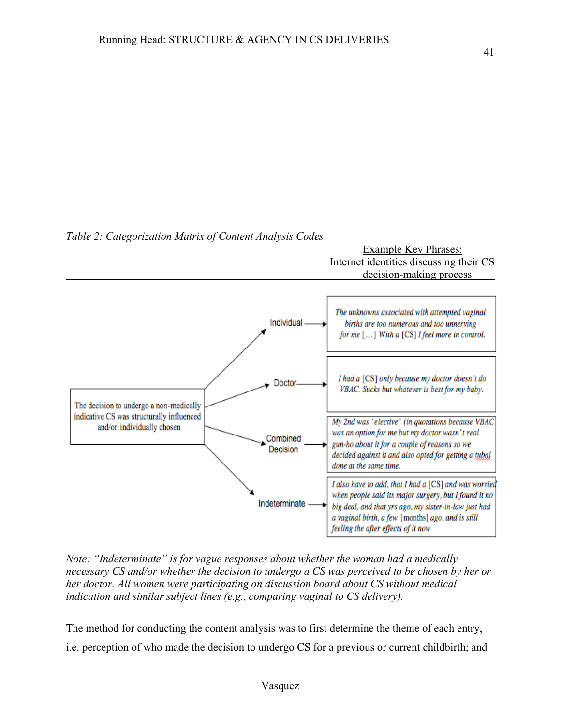

*Table 2: Categorization Matrix of Content Analysis Codes*

*Note: "Indeterminate" is for vague responses about whether the woman had a medically necessary CS and/or whether the decision to undergo a CS was perceived to be chosen by her or her doctor. All women were participating on discussion board about CS without medical indication and similar subject lines (e.g., comparing vaginal to CS delivery).* 

The method for conducting the content analysis was to first determine the theme of each entry, i.e. perception of who made the decision to undergo CS for a previous or current childbirth; and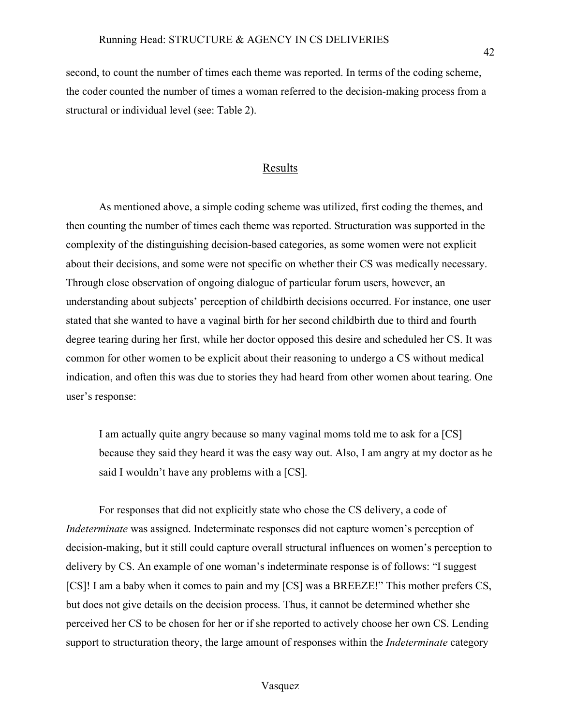second, to count the number of times each theme was reported. In terms of the coding scheme, the coder counted the number of times a woman referred to the decision-making process from a structural or individual level (see: Table 2).

## Results

As mentioned above, a simple coding scheme was utilized, first coding the themes, and then counting the number of times each theme was reported. Structuration was supported in the complexity of the distinguishing decision-based categories, as some women were not explicit about their decisions, and some were not specific on whether their CS was medically necessary. Through close observation of ongoing dialogue of particular forum users, however, an understanding about subjects' perception of childbirth decisions occurred. For instance, one user stated that she wanted to have a vaginal birth for her second childbirth due to third and fourth degree tearing during her first, while her doctor opposed this desire and scheduled her CS. It was common for other women to be explicit about their reasoning to undergo a CS without medical indication, and often this was due to stories they had heard from other women about tearing. One user's response:

I am actually quite angry because so many vaginal moms told me to ask for a [CS] because they said they heard it was the easy way out. Also, I am angry at my doctor as he said I wouldn't have any problems with a [CS].

For responses that did not explicitly state who chose the CS delivery, a code of *Indeterminate* was assigned. Indeterminate responses did not capture women's perception of decision-making, but it still could capture overall structural influences on women's perception to delivery by CS. An example of one woman's indeterminate response is of follows: "I suggest [CS]! I am a baby when it comes to pain and my [CS] was a BREEZE!" This mother prefers CS, but does not give details on the decision process. Thus, it cannot be determined whether she perceived her CS to be chosen for her or if she reported to actively choose her own CS. Lending support to structuration theory, the large amount of responses within the *Indeterminate* category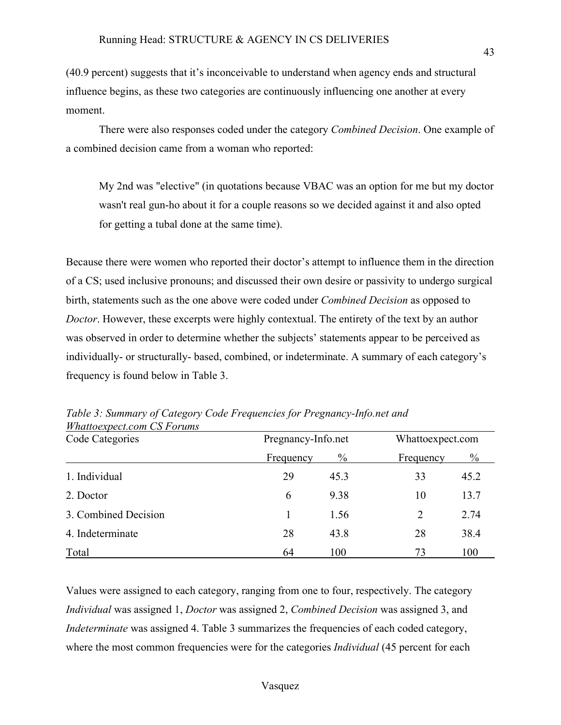(40.9 percent) suggests that it's inconceivable to understand when agency ends and structural influence begins, as these two categories are continuously influencing one another at every moment.

There were also responses coded under the category *Combined Decision*. One example of a combined decision came from a woman who reported:

My 2nd was "elective" (in quotations because VBAC was an option for me but my doctor wasn't real gun-ho about it for a couple reasons so we decided against it and also opted for getting a tubal done at the same time).

Because there were women who reported their doctor's attempt to influence them in the direction of a CS; used inclusive pronouns; and discussed their own desire or passivity to undergo surgical birth, statements such as the one above were coded under *Combined Decision* as opposed to *Doctor*. However, these excerpts were highly contextual. The entirety of the text by an author was observed in order to determine whether the subjects' statements appear to be perceived as individually- or structurally- based, combined, or indeterminate. A summary of each category's frequency is found below in Table 3.

| Code Categories      | Pregnancy-Info.net | Whattoexpect.com |                |      |
|----------------------|--------------------|------------------|----------------|------|
|                      | Frequency          | $\%$             | Frequency      | $\%$ |
| 1. Individual        | 29                 | 45.3             | 33             | 45.2 |
| 2. Doctor            | 6                  | 9.38             | 10             | 13.7 |
| 3. Combined Decision |                    | 1.56             | $\overline{2}$ | 2.74 |
| 4. Indeterminate     | 28                 | 43.8             | 28             | 38.4 |
| Total                | 64                 | 100              | 73             | 100  |

*Table 3: Summary of Category Code Frequencies for Pregnancy-Info.net and Whattoexpect.com CS Forums*

Values were assigned to each category, ranging from one to four, respectively. The category *Individual* was assigned 1, *Doctor* was assigned 2, *Combined Decision* was assigned 3, and *Indeterminate* was assigned 4. Table 3 summarizes the frequencies of each coded category, where the most common frequencies were for the categories *Individual* (45 percent for each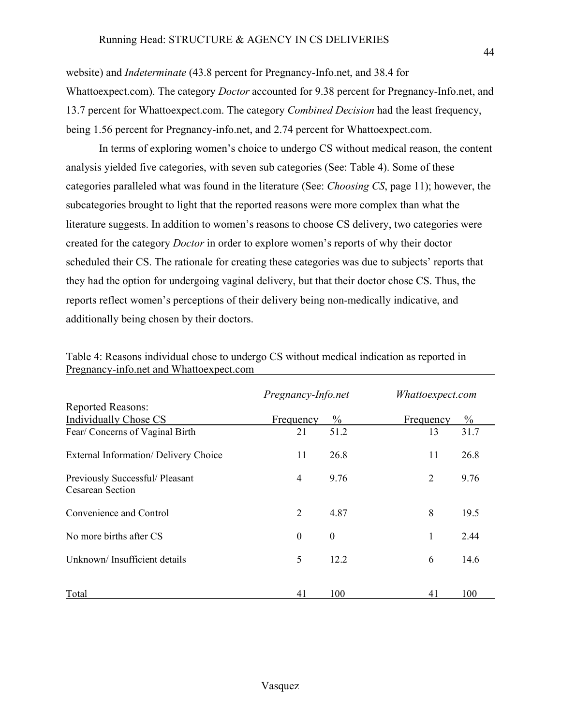website) and *Indeterminate* (43.8 percent for Pregnancy-Info.net, and 38.4 for Whattoexpect.com). The category *Doctor* accounted for 9.38 percent for Pregnancy-Info.net, and 13.7 percent for Whattoexpect.com. The category *Combined Decision* had the least frequency, being 1.56 percent for Pregnancy-info.net, and 2.74 percent for Whattoexpect.com.

In terms of exploring women's choice to undergo CS without medical reason, the content analysis yielded five categories, with seven sub categories (See: Table 4). Some of these categories paralleled what was found in the literature (See: *Choosing CS*, page 11); however, the subcategories brought to light that the reported reasons were more complex than what the literature suggests. In addition to women's reasons to choose CS delivery, two categories were created for the category *Doctor* in order to explore women's reports of why their doctor scheduled their CS. The rationale for creating these categories was due to subjects' reports that they had the option for undergoing vaginal delivery, but that their doctor chose CS. Thus, the reports reflect women's perceptions of their delivery being non-medically indicative, and additionally being chosen by their doctors.

|                                                            | Pregnancy-Info.net |                  | Whattoexpect.com |      |
|------------------------------------------------------------|--------------------|------------------|------------------|------|
| <b>Reported Reasons:</b>                                   |                    |                  |                  |      |
| <b>Individually Chose CS</b>                               | Frequency          | $\frac{0}{0}$    | Frequency        | $\%$ |
| Fear/Concerns of Vaginal Birth                             | 21                 | 51.2             | 13               | 31.7 |
| External Information/Delivery Choice                       | 11                 | 26.8             | 11               | 26.8 |
| Previously Successful/ Pleasant<br><b>Cesarean Section</b> | 4                  | 9.76             | $\overline{2}$   | 9.76 |
| Convenience and Control                                    | $\overline{2}$     | 4.87             | 8                | 19.5 |
| No more births after CS                                    | $\boldsymbol{0}$   | $\boldsymbol{0}$ | 1                | 2.44 |
| Unknown/Insufficient details                               | 5                  | 12.2             | 6                | 14.6 |
| Total                                                      | 41                 | 100              | 41               | 100  |

Table 4: Reasons individual chose to undergo CS without medical indication as reported in Pregnancy-info.net and Whattoexpect.com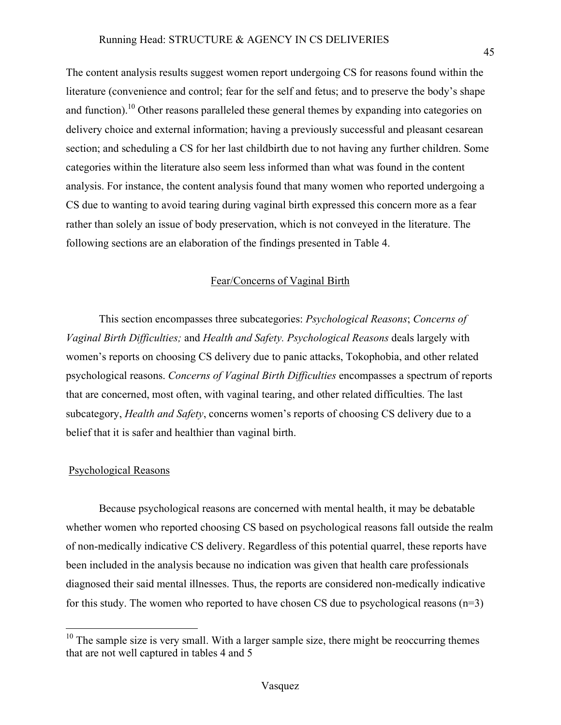The content analysis results suggest women report undergoing CS for reasons found within the literature (convenience and control; fear for the self and fetus; and to preserve the body's shape and function).<sup>10</sup> Other reasons paralleled these general themes by expanding into categories on delivery choice and external information; having a previously successful and pleasant cesarean section; and scheduling a CS for her last childbirth due to not having any further children. Some categories within the literature also seem less informed than what was found in the content analysis. For instance, the content analysis found that many women who reported undergoing a CS due to wanting to avoid tearing during vaginal birth expressed this concern more as a fear rather than solely an issue of body preservation, which is not conveyed in the literature. The following sections are an elaboration of the findings presented in Table 4.

## Fear/Concerns of Vaginal Birth

This section encompasses three subcategories: *Psychological Reasons*; *Concerns of Vaginal Birth Difficulties;* and *Health and Safety. Psychological Reasons* deals largely with women's reports on choosing CS delivery due to panic attacks, Tokophobia, and other related psychological reasons. *Concerns of Vaginal Birth Difficulties* encompasses a spectrum of reports that are concerned, most often, with vaginal tearing, and other related difficulties. The last subcategory, *Health and Safety*, concerns women's reports of choosing CS delivery due to a belief that it is safer and healthier than vaginal birth.

## Psychological Reasons

Because psychological reasons are concerned with mental health, it may be debatable whether women who reported choosing CS based on psychological reasons fall outside the realm of non-medically indicative CS delivery. Regardless of this potential quarrel, these reports have been included in the analysis because no indication was given that health care professionals diagnosed their said mental illnesses. Thus, the reports are considered non-medically indicative for this study. The women who reported to have chosen CS due to psychological reasons  $(n=3)$ 

 $10$  The sample size is very small. With a larger sample size, there might be reoccurring themes that are not well captured in tables 4 and 5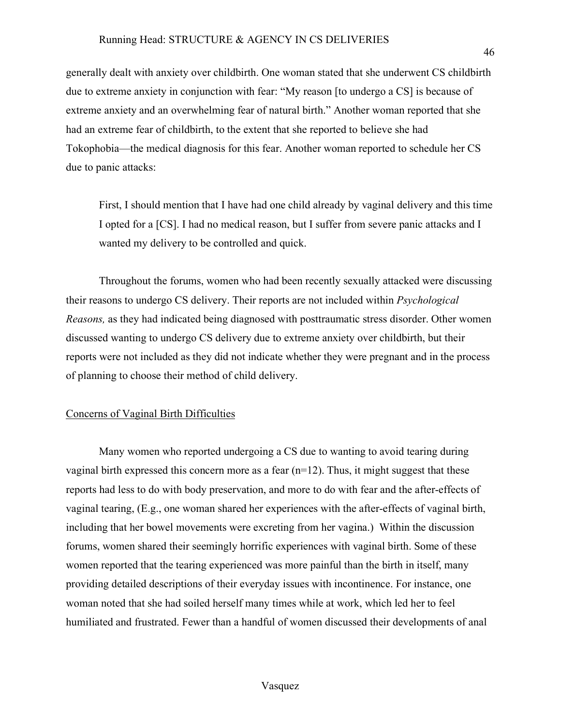46

generally dealt with anxiety over childbirth. One woman stated that she underwent CS childbirth due to extreme anxiety in conjunction with fear: "My reason [to undergo a CS] is because of extreme anxiety and an overwhelming fear of natural birth." Another woman reported that she had an extreme fear of childbirth, to the extent that she reported to believe she had Tokophobia—the medical diagnosis for this fear. Another woman reported to schedule her CS due to panic attacks:

First, I should mention that I have had one child already by vaginal delivery and this time I opted for a [CS]. I had no medical reason, but I suffer from severe panic attacks and I wanted my delivery to be controlled and quick.

Throughout the forums, women who had been recently sexually attacked were discussing their reasons to undergo CS delivery. Their reports are not included within *Psychological Reasons,* as they had indicated being diagnosed with posttraumatic stress disorder. Other women discussed wanting to undergo CS delivery due to extreme anxiety over childbirth, but their reports were not included as they did not indicate whether they were pregnant and in the process of planning to choose their method of child delivery.

#### Concerns of Vaginal Birth Difficulties

Many women who reported undergoing a CS due to wanting to avoid tearing during vaginal birth expressed this concern more as a fear  $(n=12)$ . Thus, it might suggest that these reports had less to do with body preservation, and more to do with fear and the after-effects of vaginal tearing, (E.g., one woman shared her experiences with the after-effects of vaginal birth, including that her bowel movements were excreting from her vagina.) Within the discussion forums, women shared their seemingly horrific experiences with vaginal birth. Some of these women reported that the tearing experienced was more painful than the birth in itself, many providing detailed descriptions of their everyday issues with incontinence. For instance, one woman noted that she had soiled herself many times while at work, which led her to feel humiliated and frustrated. Fewer than a handful of women discussed their developments of anal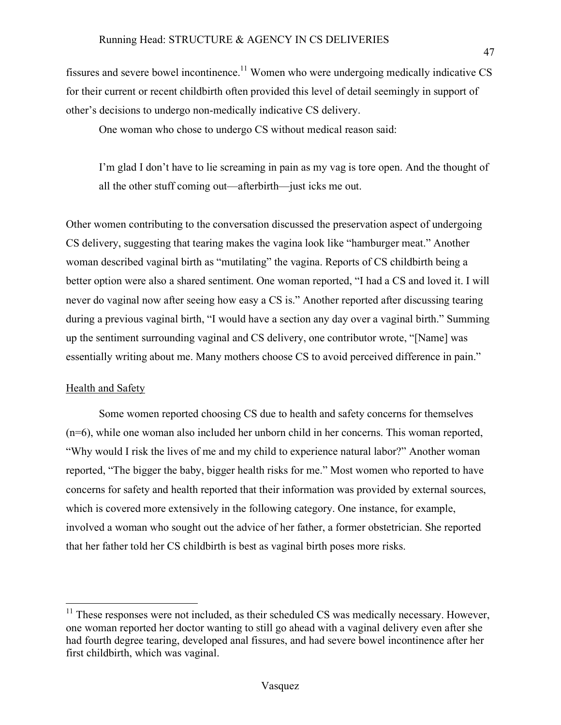fissures and severe bowel incontinence.<sup>11</sup> Women who were undergoing medically indicative CS for their current or recent childbirth often provided this level of detail seemingly in support of other's decisions to undergo non-medically indicative CS delivery.

One woman who chose to undergo CS without medical reason said:

I'm glad I don't have to lie screaming in pain as my vag is tore open. And the thought of all the other stuff coming out—afterbirth—just icks me out.

Other women contributing to the conversation discussed the preservation aspect of undergoing CS delivery, suggesting that tearing makes the vagina look like "hamburger meat." Another woman described vaginal birth as "mutilating" the vagina. Reports of CS childbirth being a better option were also a shared sentiment. One woman reported, "I had a CS and loved it. I will never do vaginal now after seeing how easy a CS is." Another reported after discussing tearing during a previous vaginal birth, "I would have a section any day over a vaginal birth." Summing up the sentiment surrounding vaginal and CS delivery, one contributor wrote, "[Name] was essentially writing about me. Many mothers choose CS to avoid perceived difference in pain."

## Health and Safety

Some women reported choosing CS due to health and safety concerns for themselves (n=6), while one woman also included her unborn child in her concerns. This woman reported, "Why would I risk the lives of me and my child to experience natural labor?" Another woman reported, "The bigger the baby, bigger health risks for me." Most women who reported to have concerns for safety and health reported that their information was provided by external sources, which is covered more extensively in the following category. One instance, for example, involved a woman who sought out the advice of her father, a former obstetrician. She reported that her father told her CS childbirth is best as vaginal birth poses more risks.

 $11$  These responses were not included, as their scheduled CS was medically necessary. However, one woman reported her doctor wanting to still go ahead with a vaginal delivery even after she had fourth degree tearing, developed anal fissures, and had severe bowel incontinence after her first childbirth, which was vaginal.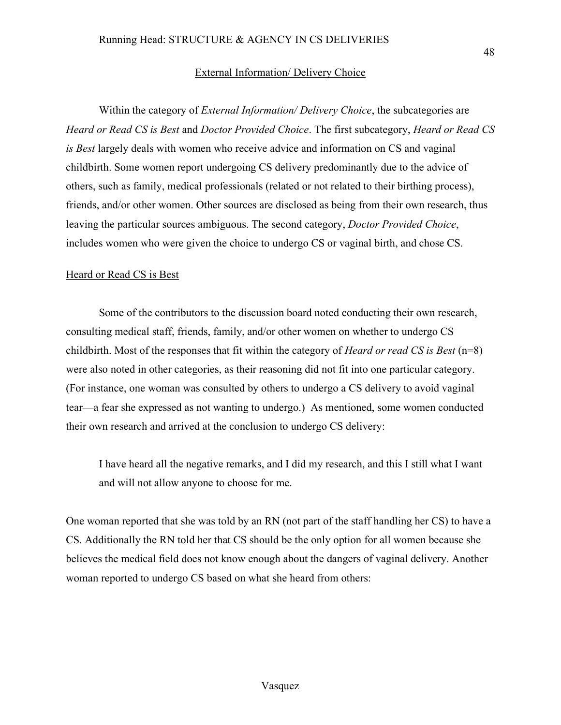#### External Information/ Delivery Choice

Within the category of *External Information/ Delivery Choice*, the subcategories are *Heard or Read CS is Best* and *Doctor Provided Choice*. The first subcategory, *Heard or Read CS is Best* largely deals with women who receive advice and information on CS and vaginal childbirth. Some women report undergoing CS delivery predominantly due to the advice of others, such as family, medical professionals (related or not related to their birthing process), friends, and/or other women. Other sources are disclosed as being from their own research, thus leaving the particular sources ambiguous. The second category, *Doctor Provided Choice*, includes women who were given the choice to undergo CS or vaginal birth, and chose CS.

#### Heard or Read CS is Best

Some of the contributors to the discussion board noted conducting their own research, consulting medical staff, friends, family, and/or other women on whether to undergo CS childbirth. Most of the responses that fit within the category of *Heard or read CS is Best* (n=8) were also noted in other categories, as their reasoning did not fit into one particular category. (For instance, one woman was consulted by others to undergo a CS delivery to avoid vaginal tear—a fear she expressed as not wanting to undergo.) As mentioned, some women conducted their own research and arrived at the conclusion to undergo CS delivery:

I have heard all the negative remarks, and I did my research, and this I still what I want and will not allow anyone to choose for me.

One woman reported that she was told by an RN (not part of the staff handling her CS) to have a CS. Additionally the RN told her that CS should be the only option for all women because she believes the medical field does not know enough about the dangers of vaginal delivery. Another woman reported to undergo CS based on what she heard from others: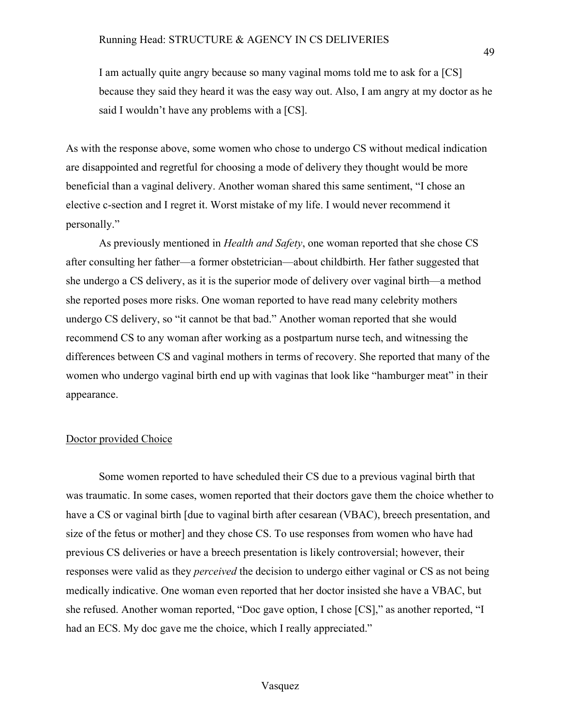I am actually quite angry because so many vaginal moms told me to ask for a [CS] because they said they heard it was the easy way out. Also, I am angry at my doctor as he said I wouldn't have any problems with a [CS].

As with the response above, some women who chose to undergo CS without medical indication are disappointed and regretful for choosing a mode of delivery they thought would be more beneficial than a vaginal delivery. Another woman shared this same sentiment, "I chose an elective c-section and I regret it. Worst mistake of my life. I would never recommend it personally."

As previously mentioned in *Health and Safety*, one woman reported that she chose CS after consulting her father—a former obstetrician—about childbirth. Her father suggested that she undergo a CS delivery, as it is the superior mode of delivery over vaginal birth—a method she reported poses more risks. One woman reported to have read many celebrity mothers undergo CS delivery, so "it cannot be that bad." Another woman reported that she would recommend CS to any woman after working as a postpartum nurse tech, and witnessing the differences between CS and vaginal mothers in terms of recovery. She reported that many of the women who undergo vaginal birth end up with vaginas that look like "hamburger meat" in their appearance.

## Doctor provided Choice

Some women reported to have scheduled their CS due to a previous vaginal birth that was traumatic. In some cases, women reported that their doctors gave them the choice whether to have a CS or vaginal birth [due to vaginal birth after cesarean (VBAC), breech presentation, and size of the fetus or mother] and they chose CS. To use responses from women who have had previous CS deliveries or have a breech presentation is likely controversial; however, their responses were valid as they *perceived* the decision to undergo either vaginal or CS as not being medically indicative. One woman even reported that her doctor insisted she have a VBAC, but she refused. Another woman reported, "Doc gave option, I chose [CS]," as another reported, "I had an ECS. My doc gave me the choice, which I really appreciated."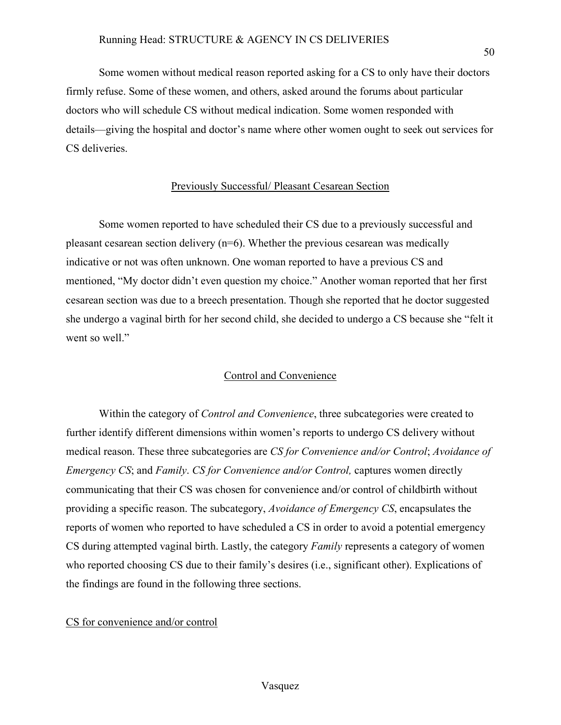Some women without medical reason reported asking for a CS to only have their doctors firmly refuse. Some of these women, and others, asked around the forums about particular doctors who will schedule CS without medical indication. Some women responded with details—giving the hospital and doctor's name where other women ought to seek out services for CS deliveries.

## Previously Successful/ Pleasant Cesarean Section

Some women reported to have scheduled their CS due to a previously successful and pleasant cesarean section delivery (n=6). Whether the previous cesarean was medically indicative or not was often unknown. One woman reported to have a previous CS and mentioned, "My doctor didn't even question my choice." Another woman reported that her first cesarean section was due to a breech presentation. Though she reported that he doctor suggested she undergo a vaginal birth for her second child, she decided to undergo a CS because she "felt it went so well."

## Control and Convenience

Within the category of *Control and Convenience*, three subcategories were created to further identify different dimensions within women's reports to undergo CS delivery without medical reason. These three subcategories are *CS for Convenience and/or Control*; *Avoidance of Emergency CS*; and *Family*. *CS for Convenience and/or Control,* captures women directly communicating that their CS was chosen for convenience and/or control of childbirth without providing a specific reason. The subcategory, *Avoidance of Emergency CS*, encapsulates the reports of women who reported to have scheduled a CS in order to avoid a potential emergency CS during attempted vaginal birth. Lastly, the category *Family* represents a category of women who reported choosing CS due to their family's desires (i.e., significant other). Explications of the findings are found in the following three sections.

#### CS for convenience and/or control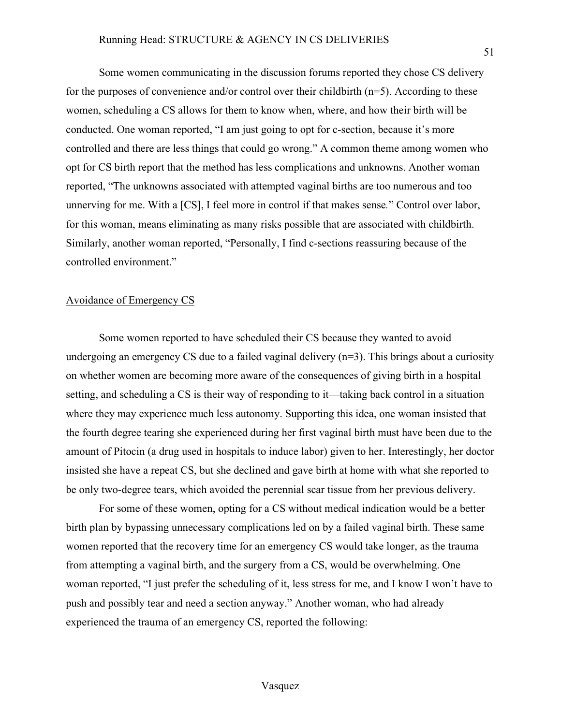Some women communicating in the discussion forums reported they chose CS delivery for the purposes of convenience and/or control over their childbirth  $(n=5)$ . According to these women, scheduling a CS allows for them to know when, where, and how their birth will be conducted. One woman reported, "I am just going to opt for c-section, because it's more controlled and there are less things that could go wrong." A common theme among women who opt for CS birth report that the method has less complications and unknowns. Another woman reported, "The unknowns associated with attempted vaginal births are too numerous and too unnerving for me. With a [CS], I feel more in control if that makes sense*.*" Control over labor, for this woman, means eliminating as many risks possible that are associated with childbirth. Similarly, another woman reported, "Personally, I find c-sections reassuring because of the controlled environment."

## Avoidance of Emergency CS

Some women reported to have scheduled their CS because they wanted to avoid undergoing an emergency CS due to a failed vaginal delivery (n=3). This brings about a curiosity on whether women are becoming more aware of the consequences of giving birth in a hospital setting, and scheduling a CS is their way of responding to it—taking back control in a situation where they may experience much less autonomy. Supporting this idea, one woman insisted that the fourth degree tearing she experienced during her first vaginal birth must have been due to the amount of Pitocin (a drug used in hospitals to induce labor) given to her. Interestingly, her doctor insisted she have a repeat CS, but she declined and gave birth at home with what she reported to be only two-degree tears, which avoided the perennial scar tissue from her previous delivery.

For some of these women, opting for a CS without medical indication would be a better birth plan by bypassing unnecessary complications led on by a failed vaginal birth. These same women reported that the recovery time for an emergency CS would take longer, as the trauma from attempting a vaginal birth, and the surgery from a CS, would be overwhelming. One woman reported, "I just prefer the scheduling of it, less stress for me, and I know I won't have to push and possibly tear and need a section anyway." Another woman, who had already experienced the trauma of an emergency CS, reported the following: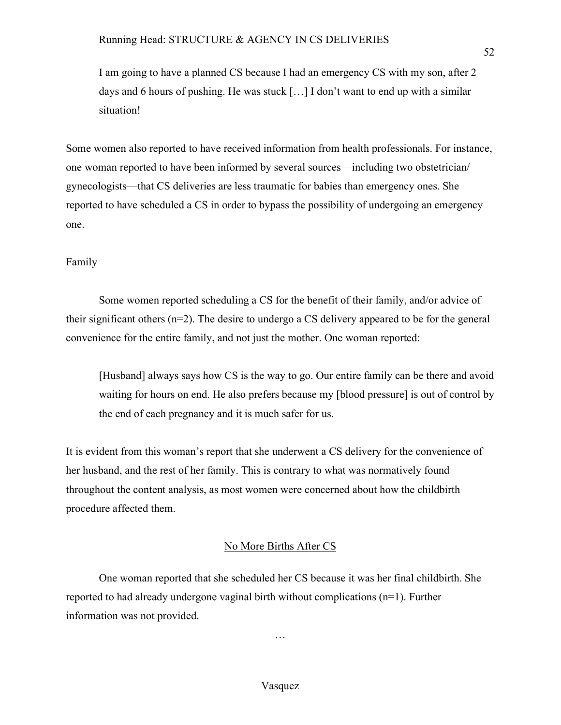I am going to have a planned CS because I had an emergency CS with my son, after 2 days and 6 hours of pushing. He was stuck […] I don't want to end up with a similar situation!

Some women also reported to have received information from health professionals. For instance, one woman reported to have been informed by several sources—including two obstetrician/ gynecologists—that CS deliveries are less traumatic for babies than emergency ones. She reported to have scheduled a CS in order to bypass the possibility of undergoing an emergency one.

## Family

Some women reported scheduling a CS for the benefit of their family, and/or advice of their significant others (n=2). The desire to undergo a CS delivery appeared to be for the general convenience for the entire family, and not just the mother. One woman reported:

[Husband] always says how CS is the way to go. Our entire family can be there and avoid waiting for hours on end. He also prefers because my [blood pressure] is out of control by the end of each pregnancy and it is much safer for us.

It is evident from this woman's report that she underwent a CS delivery for the convenience of her husband, and the rest of her family. This is contrary to what was normatively found throughout the content analysis, as most women were concerned about how the childbirth procedure affected them.

#### No More Births After CS

One woman reported that she scheduled her CS because it was her final childbirth. She reported to had already undergone vaginal birth without complications (n=1). Further information was not provided.

…

#### Vasquez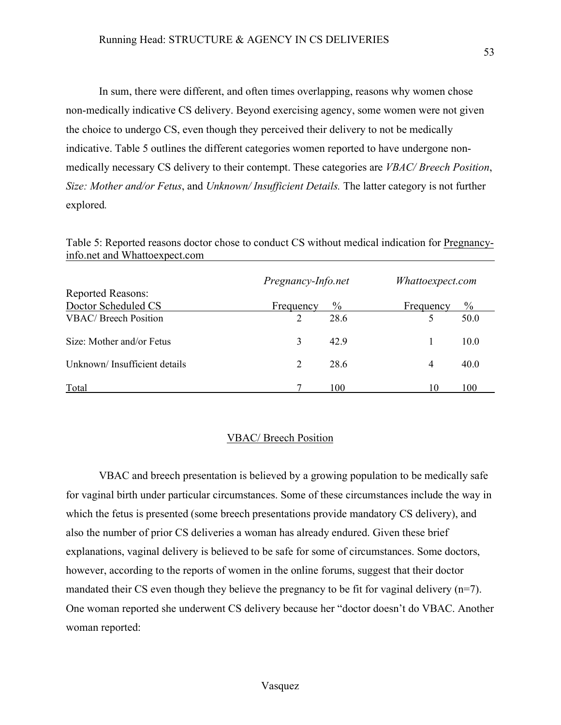In sum, there were different, and often times overlapping, reasons why women chose non-medically indicative CS delivery. Beyond exercising agency, some women were not given the choice to undergo CS, even though they perceived their delivery to not be medically indicative. Table 5 outlines the different categories women reported to have undergone nonmedically necessary CS delivery to their contempt. These categories are *VBAC/ Breech Position*, *Size: Mother and/or Fetus*, and *Unknown/ Insufficient Details.* The latter category is not further explored*.*

Table 5: Reported reasons doctor chose to conduct CS without medical indication for Pregnancyinfo.net and Whattoexpect.com

|                              | Pregnancy-Info.net |      |           | Whattoexpect.com |  |  |
|------------------------------|--------------------|------|-----------|------------------|--|--|
| <b>Reported Reasons:</b>     |                    |      |           |                  |  |  |
| Doctor Scheduled CS          | Frequency          | $\%$ | Frequency | $\%$             |  |  |
| <b>VBAC/</b> Breech Position | 2                  | 28.6 | 5         | 50.0             |  |  |
| Size: Mother and/or Fetus    | 3                  | 42.9 |           | 10.0             |  |  |
| Unknown/Insufficient details | $\overline{2}$     | 28.6 | 4         | 40.0             |  |  |
| Total                        |                    | 100  | 10        | 100              |  |  |

#### VBAC/ Breech Position

VBAC and breech presentation is believed by a growing population to be medically safe for vaginal birth under particular circumstances. Some of these circumstances include the way in which the fetus is presented (some breech presentations provide mandatory CS delivery), and also the number of prior CS deliveries a woman has already endured. Given these brief explanations, vaginal delivery is believed to be safe for some of circumstances. Some doctors, however, according to the reports of women in the online forums, suggest that their doctor mandated their CS even though they believe the pregnancy to be fit for vaginal delivery (n=7). One woman reported she underwent CS delivery because her "doctor doesn't do VBAC. Another woman reported: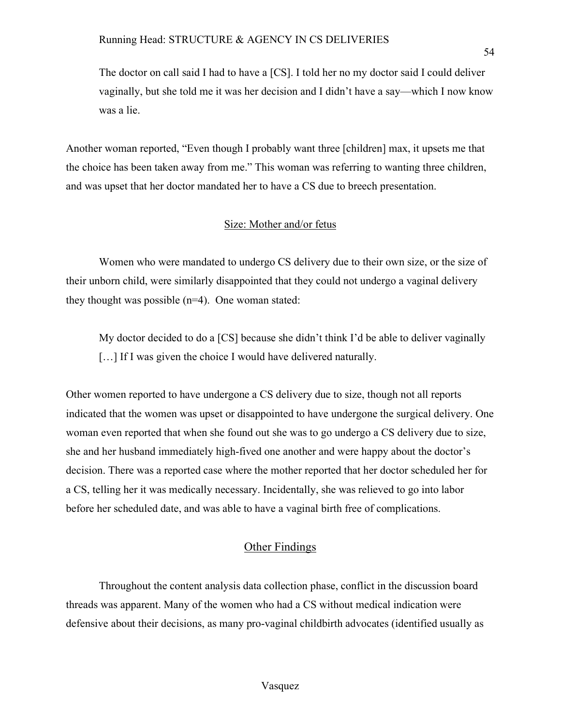The doctor on call said I had to have a [CS]. I told her no my doctor said I could deliver vaginally, but she told me it was her decision and I didn't have a say—which I now know was a lie.

Another woman reported, "Even though I probably want three [children] max, it upsets me that the choice has been taken away from me." This woman was referring to wanting three children, and was upset that her doctor mandated her to have a CS due to breech presentation.

## Size: Mother and/or fetus

Women who were mandated to undergo CS delivery due to their own size, or the size of their unborn child, were similarly disappointed that they could not undergo a vaginal delivery they thought was possible (n=4). One woman stated:

My doctor decided to do a [CS] because she didn't think I'd be able to deliver vaginally [...] If I was given the choice I would have delivered naturally.

Other women reported to have undergone a CS delivery due to size, though not all reports indicated that the women was upset or disappointed to have undergone the surgical delivery. One woman even reported that when she found out she was to go undergo a CS delivery due to size, she and her husband immediately high-fived one another and were happy about the doctor's decision. There was a reported case where the mother reported that her doctor scheduled her for a CS, telling her it was medically necessary. Incidentally, she was relieved to go into labor before her scheduled date, and was able to have a vaginal birth free of complications.

# Other Findings

Throughout the content analysis data collection phase, conflict in the discussion board threads was apparent. Many of the women who had a CS without medical indication were defensive about their decisions, as many pro-vaginal childbirth advocates (identified usually as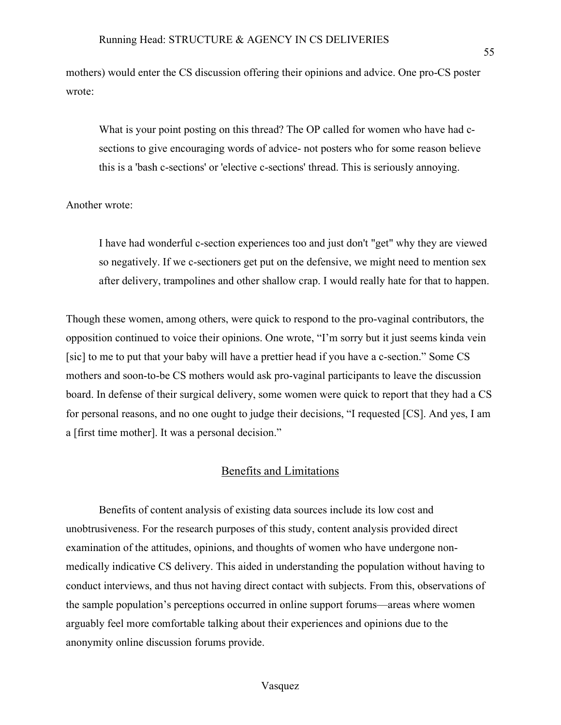mothers) would enter the CS discussion offering their opinions and advice. One pro-CS poster wrote:

What is your point posting on this thread? The OP called for women who have had csections to give encouraging words of advice- not posters who for some reason believe this is a 'bash c-sections' or 'elective c-sections' thread. This is seriously annoying.

#### Another wrote:

I have had wonderful c-section experiences too and just don't "get" why they are viewed so negatively. If we c-sectioners get put on the defensive, we might need to mention sex after delivery, trampolines and other shallow crap. I would really hate for that to happen.

Though these women, among others, were quick to respond to the pro-vaginal contributors, the opposition continued to voice their opinions. One wrote, "I'm sorry but it just seems kinda vein [sic] to me to put that your baby will have a prettier head if you have a c-section." Some CS mothers and soon-to-be CS mothers would ask pro-vaginal participants to leave the discussion board. In defense of their surgical delivery, some women were quick to report that they had a CS for personal reasons, and no one ought to judge their decisions, "I requested [CS]. And yes, I am a [first time mother]. It was a personal decision."

## Benefits and Limitations

Benefits of content analysis of existing data sources include its low cost and unobtrusiveness. For the research purposes of this study, content analysis provided direct examination of the attitudes, opinions, and thoughts of women who have undergone nonmedically indicative CS delivery. This aided in understanding the population without having to conduct interviews, and thus not having direct contact with subjects. From this, observations of the sample population's perceptions occurred in online support forums—areas where women arguably feel more comfortable talking about their experiences and opinions due to the anonymity online discussion forums provide.

#### Vasquez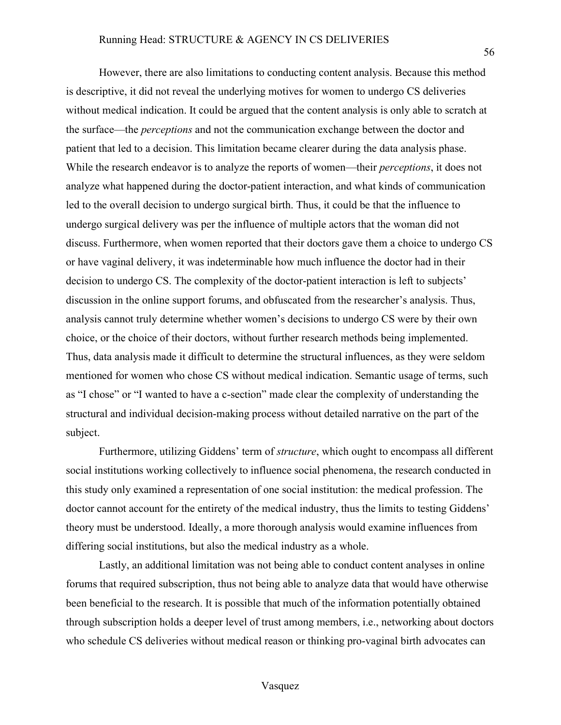However, there are also limitations to conducting content analysis. Because this method is descriptive, it did not reveal the underlying motives for women to undergo CS deliveries without medical indication. It could be argued that the content analysis is only able to scratch at the surface—the *perceptions* and not the communication exchange between the doctor and patient that led to a decision. This limitation became clearer during the data analysis phase. While the research endeavor is to analyze the reports of women—their *perceptions*, it does not analyze what happened during the doctor-patient interaction, and what kinds of communication led to the overall decision to undergo surgical birth. Thus, it could be that the influence to undergo surgical delivery was per the influence of multiple actors that the woman did not discuss. Furthermore, when women reported that their doctors gave them a choice to undergo CS or have vaginal delivery, it was indeterminable how much influence the doctor had in their decision to undergo CS. The complexity of the doctor-patient interaction is left to subjects' discussion in the online support forums, and obfuscated from the researcher's analysis. Thus, analysis cannot truly determine whether women's decisions to undergo CS were by their own choice, or the choice of their doctors, without further research methods being implemented. Thus, data analysis made it difficult to determine the structural influences, as they were seldom mentioned for women who chose CS without medical indication. Semantic usage of terms, such as "I chose" or "I wanted to have a c-section" made clear the complexity of understanding the structural and individual decision-making process without detailed narrative on the part of the subject.

Furthermore, utilizing Giddens' term of *structure*, which ought to encompass all different social institutions working collectively to influence social phenomena, the research conducted in this study only examined a representation of one social institution: the medical profession. The doctor cannot account for the entirety of the medical industry, thus the limits to testing Giddens' theory must be understood. Ideally, a more thorough analysis would examine influences from differing social institutions, but also the medical industry as a whole.

Lastly, an additional limitation was not being able to conduct content analyses in online forums that required subscription, thus not being able to analyze data that would have otherwise been beneficial to the research. It is possible that much of the information potentially obtained through subscription holds a deeper level of trust among members, i.e., networking about doctors who schedule CS deliveries without medical reason or thinking pro-vaginal birth advocates can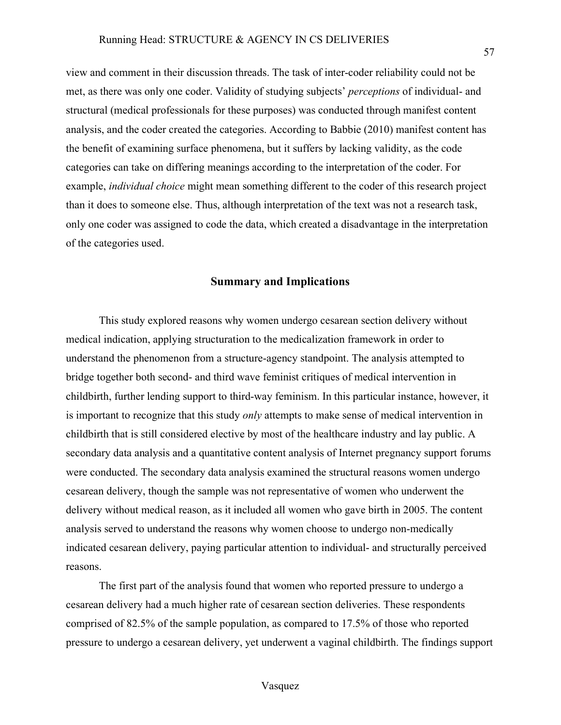view and comment in their discussion threads. The task of inter-coder reliability could not be met, as there was only one coder. Validity of studying subjects' *perceptions* of individual- and structural (medical professionals for these purposes) was conducted through manifest content analysis, and the coder created the categories. According to Babbie (2010) manifest content has the benefit of examining surface phenomena, but it suffers by lacking validity, as the code categories can take on differing meanings according to the interpretation of the coder. For example, *individual choice* might mean something different to the coder of this research project than it does to someone else. Thus, although interpretation of the text was not a research task, only one coder was assigned to code the data, which created a disadvantage in the interpretation of the categories used.

## **Summary and Implications**

This study explored reasons why women undergo cesarean section delivery without medical indication, applying structuration to the medicalization framework in order to understand the phenomenon from a structure-agency standpoint. The analysis attempted to bridge together both second- and third wave feminist critiques of medical intervention in childbirth, further lending support to third-way feminism. In this particular instance, however, it is important to recognize that this study *only* attempts to make sense of medical intervention in childbirth that is still considered elective by most of the healthcare industry and lay public. A secondary data analysis and a quantitative content analysis of Internet pregnancy support forums were conducted. The secondary data analysis examined the structural reasons women undergo cesarean delivery, though the sample was not representative of women who underwent the delivery without medical reason, as it included all women who gave birth in 2005. The content analysis served to understand the reasons why women choose to undergo non-medically indicated cesarean delivery, paying particular attention to individual- and structurally perceived reasons.

The first part of the analysis found that women who reported pressure to undergo a cesarean delivery had a much higher rate of cesarean section deliveries. These respondents comprised of 82.5% of the sample population, as compared to 17.5% of those who reported pressure to undergo a cesarean delivery, yet underwent a vaginal childbirth. The findings support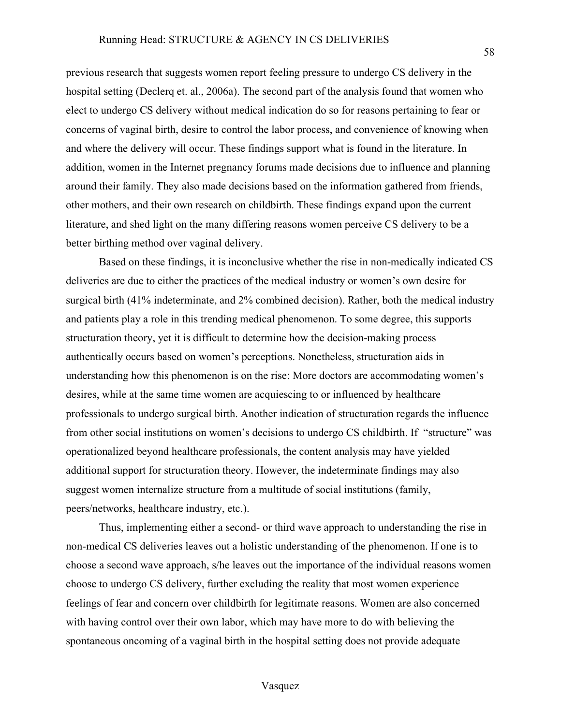previous research that suggests women report feeling pressure to undergo CS delivery in the hospital setting (Declerq et. al., 2006a). The second part of the analysis found that women who elect to undergo CS delivery without medical indication do so for reasons pertaining to fear or concerns of vaginal birth, desire to control the labor process, and convenience of knowing when and where the delivery will occur. These findings support what is found in the literature. In addition, women in the Internet pregnancy forums made decisions due to influence and planning around their family. They also made decisions based on the information gathered from friends, other mothers, and their own research on childbirth. These findings expand upon the current literature, and shed light on the many differing reasons women perceive CS delivery to be a better birthing method over vaginal delivery.

Based on these findings, it is inconclusive whether the rise in non-medically indicated CS deliveries are due to either the practices of the medical industry or women's own desire for surgical birth (41% indeterminate, and 2% combined decision). Rather, both the medical industry and patients play a role in this trending medical phenomenon. To some degree, this supports structuration theory, yet it is difficult to determine how the decision-making process authentically occurs based on women's perceptions. Nonetheless, structuration aids in understanding how this phenomenon is on the rise: More doctors are accommodating women's desires, while at the same time women are acquiescing to or influenced by healthcare professionals to undergo surgical birth. Another indication of structuration regards the influence from other social institutions on women's decisions to undergo CS childbirth. If "structure" was operationalized beyond healthcare professionals, the content analysis may have yielded additional support for structuration theory. However, the indeterminate findings may also suggest women internalize structure from a multitude of social institutions (family, peers/networks, healthcare industry, etc.).

Thus, implementing either a second- or third wave approach to understanding the rise in non-medical CS deliveries leaves out a holistic understanding of the phenomenon. If one is to choose a second wave approach, s/he leaves out the importance of the individual reasons women choose to undergo CS delivery, further excluding the reality that most women experience feelings of fear and concern over childbirth for legitimate reasons. Women are also concerned with having control over their own labor, which may have more to do with believing the spontaneous oncoming of a vaginal birth in the hospital setting does not provide adequate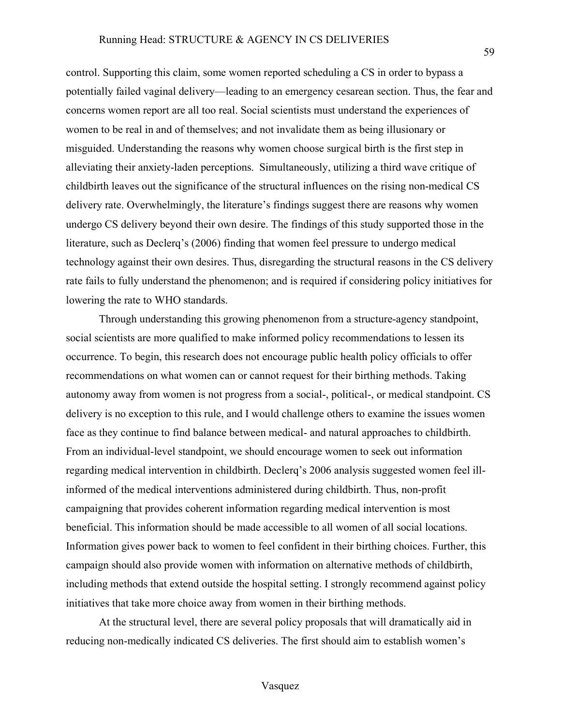control. Supporting this claim, some women reported scheduling a CS in order to bypass a potentially failed vaginal delivery—leading to an emergency cesarean section. Thus, the fear and concerns women report are all too real. Social scientists must understand the experiences of women to be real in and of themselves; and not invalidate them as being illusionary or misguided. Understanding the reasons why women choose surgical birth is the first step in alleviating their anxiety-laden perceptions. Simultaneously, utilizing a third wave critique of childbirth leaves out the significance of the structural influences on the rising non-medical CS delivery rate. Overwhelmingly, the literature's findings suggest there are reasons why women undergo CS delivery beyond their own desire. The findings of this study supported those in the literature, such as Declerq's (2006) finding that women feel pressure to undergo medical technology against their own desires. Thus, disregarding the structural reasons in the CS delivery rate fails to fully understand the phenomenon; and is required if considering policy initiatives for lowering the rate to WHO standards.

Through understanding this growing phenomenon from a structure-agency standpoint, social scientists are more qualified to make informed policy recommendations to lessen its occurrence. To begin, this research does not encourage public health policy officials to offer recommendations on what women can or cannot request for their birthing methods. Taking autonomy away from women is not progress from a social-, political-, or medical standpoint. CS delivery is no exception to this rule, and I would challenge others to examine the issues women face as they continue to find balance between medical- and natural approaches to childbirth. From an individual-level standpoint, we should encourage women to seek out information regarding medical intervention in childbirth. Declerq's 2006 analysis suggested women feel illinformed of the medical interventions administered during childbirth. Thus, non-profit campaigning that provides coherent information regarding medical intervention is most beneficial. This information should be made accessible to all women of all social locations. Information gives power back to women to feel confident in their birthing choices. Further, this campaign should also provide women with information on alternative methods of childbirth, including methods that extend outside the hospital setting. I strongly recommend against policy initiatives that take more choice away from women in their birthing methods.

At the structural level, there are several policy proposals that will dramatically aid in reducing non-medically indicated CS deliveries. The first should aim to establish women's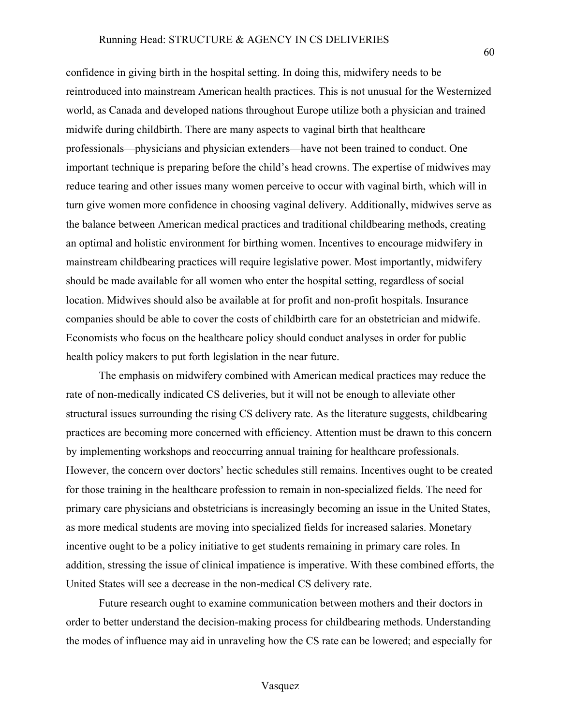confidence in giving birth in the hospital setting. In doing this, midwifery needs to be reintroduced into mainstream American health practices. This is not unusual for the Westernized world, as Canada and developed nations throughout Europe utilize both a physician and trained midwife during childbirth. There are many aspects to vaginal birth that healthcare professionals—physicians and physician extenders—have not been trained to conduct. One important technique is preparing before the child's head crowns. The expertise of midwives may reduce tearing and other issues many women perceive to occur with vaginal birth, which will in turn give women more confidence in choosing vaginal delivery. Additionally, midwives serve as the balance between American medical practices and traditional childbearing methods, creating an optimal and holistic environment for birthing women. Incentives to encourage midwifery in mainstream childbearing practices will require legislative power. Most importantly, midwifery should be made available for all women who enter the hospital setting, regardless of social location. Midwives should also be available at for profit and non-profit hospitals. Insurance companies should be able to cover the costs of childbirth care for an obstetrician and midwife. Economists who focus on the healthcare policy should conduct analyses in order for public health policy makers to put forth legislation in the near future.

The emphasis on midwifery combined with American medical practices may reduce the rate of non-medically indicated CS deliveries, but it will not be enough to alleviate other structural issues surrounding the rising CS delivery rate. As the literature suggests, childbearing practices are becoming more concerned with efficiency. Attention must be drawn to this concern by implementing workshops and reoccurring annual training for healthcare professionals. However, the concern over doctors' hectic schedules still remains. Incentives ought to be created for those training in the healthcare profession to remain in non-specialized fields. The need for primary care physicians and obstetricians is increasingly becoming an issue in the United States, as more medical students are moving into specialized fields for increased salaries. Monetary incentive ought to be a policy initiative to get students remaining in primary care roles. In addition, stressing the issue of clinical impatience is imperative. With these combined efforts, the United States will see a decrease in the non-medical CS delivery rate.

Future research ought to examine communication between mothers and their doctors in order to better understand the decision-making process for childbearing methods. Understanding the modes of influence may aid in unraveling how the CS rate can be lowered; and especially for

60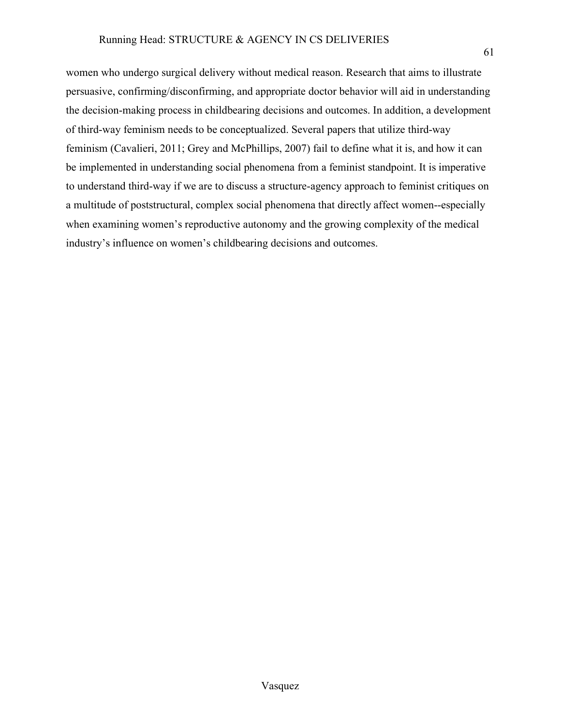women who undergo surgical delivery without medical reason. Research that aims to illustrate persuasive, confirming/disconfirming, and appropriate doctor behavior will aid in understanding the decision-making process in childbearing decisions and outcomes. In addition, a development of third-way feminism needs to be conceptualized. Several papers that utilize third-way feminism (Cavalieri, 2011; Grey and McPhillips, 2007) fail to define what it is, and how it can be implemented in understanding social phenomena from a feminist standpoint. It is imperative to understand third-way if we are to discuss a structure-agency approach to feminist critiques on a multitude of poststructural, complex social phenomena that directly affect women--especially when examining women's reproductive autonomy and the growing complexity of the medical industry's influence on women's childbearing decisions and outcomes.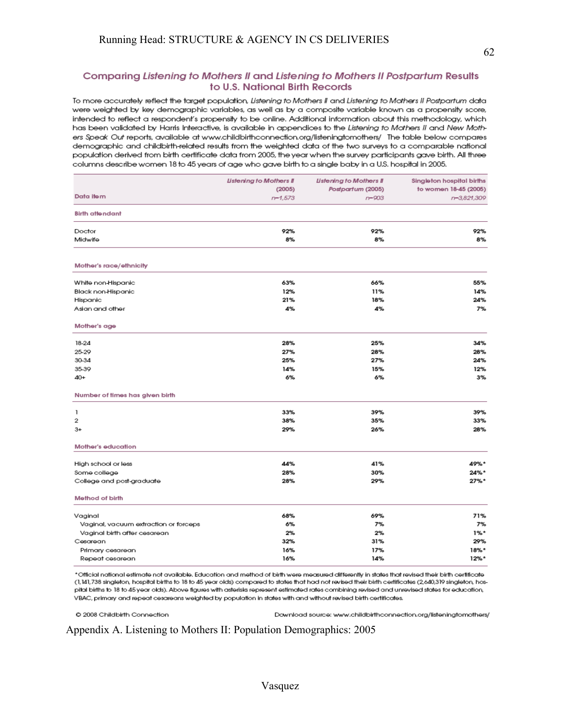#### Comparing Listening to Mothers II and Listening to Mothers II Postpartum Results to U.S. National Birth Records

To more accurately reflect the target population, Listening to Mothers II and Listening to Mothers II Postpartum data were weighted by key demographic variables, as well as by a composite variable known as a propensity score, intended to reflect a respondent's propensity to be online. Additional information about this methodology, which has been validated by Harris Interactive, is available in appendices to the Listening to Mathers II and New Mothers Speak Out reports, available at www.childbirthconnection.org/listeningtomothers/ The table below compares demographic and childbirth-related results from the weighted data of the two surveys to a comparable national population derived from birth certificate data from 2005, the year when the survey participants gave birth. All three columns describe women 18 to 45 years of age who gave birth to a single baby in a U.S. hospital in 2005.

|                                       | <b>Listening to Mothers II</b> | <b>Listening to Mothers II</b> | Singleton hospital births |
|---------------------------------------|--------------------------------|--------------------------------|---------------------------|
|                                       | (2005)                         | Postpartum (2005)              | to women 18-45 (2005)     |
| Data item                             | $n - 1,573$                    | $n - 903$                      | n-3,821,309               |
| <b>Birth attendant</b>                |                                |                                |                           |
| Doctor                                | 92%                            | 92%                            | 92%                       |
| Midwife                               | 8%                             | 8%                             | 8%                        |
| Mother's race/ethnicity               |                                |                                |                           |
| White non-Hispanic                    | 63%                            | 66%                            | 55%                       |
| Black non-Hispanic                    | 12%                            | 11%                            | 14%                       |
| Hispanic                              | 21%                            | 18%                            | 24%                       |
| Asian and other                       | 4%                             | 4%                             | 7%                        |
| Mother's age                          |                                |                                |                           |
| 18-24                                 | 28%                            | 25%                            | 34%                       |
| 25-29                                 | 27%                            | 28%                            | 28%                       |
| 30-34                                 | 25%                            | 27%                            | 24%                       |
| 35-39                                 | 14%                            | 15%                            | 12%                       |
| $40+$                                 | 6%                             | 6%                             | 3%                        |
| Number of times has given birth       |                                |                                |                           |
| 1                                     | 33%                            | 39%                            | 39%                       |
| $\overline{2}$                        | 38%                            | 35%                            | 33%                       |
| $3+$                                  | 29%                            | 26%                            | 28%                       |
| Mother's education                    |                                |                                |                           |
| High school or less                   | 44%                            | 41%                            | 49%*                      |
| Some college                          | 28%                            | 30%                            | $24%$ *                   |
| College and post-graduate             | 28%                            | 29%                            | 27%*                      |
| Method of birth                       |                                |                                |                           |
| Vaginal                               | 68%                            | 69%                            | 71%                       |
| Vaginal, vacuum extraction or forceps | 6%                             | 7%                             | 7%                        |
| Vaginal birth after cesarean          | 2%                             | 2%                             | $1\%$ *                   |
| Cesarean                              | 32%                            | 31%                            | 29%                       |
| Primary cesarean                      | 16%                            | 17%                            | $18%$ *                   |
| Repeat cesarean                       | 16%                            | 14%                            | $12%$ *                   |

\*Official national estimate not available. Education and method of birth were measured differently in states that revised their birth certificate (1,141,738 singleton, hospital births to 18 to 45 year olds) compared to states that had not revised their birth certificates (2,640,319 singleton, hospital births to 18 to 45 year olds). Above figures with asterisks represent estimated rates combining revised and unrevised states for education, VBAC, primary and repeat cesareans weighted by population in states with and without revised birth certificates.

C 2008 Childbirth Connection

Download source: www.childbirthconnection.org/listeningtomothers/

Appendix A. Listening to Mothers II: Population Demographics: 2005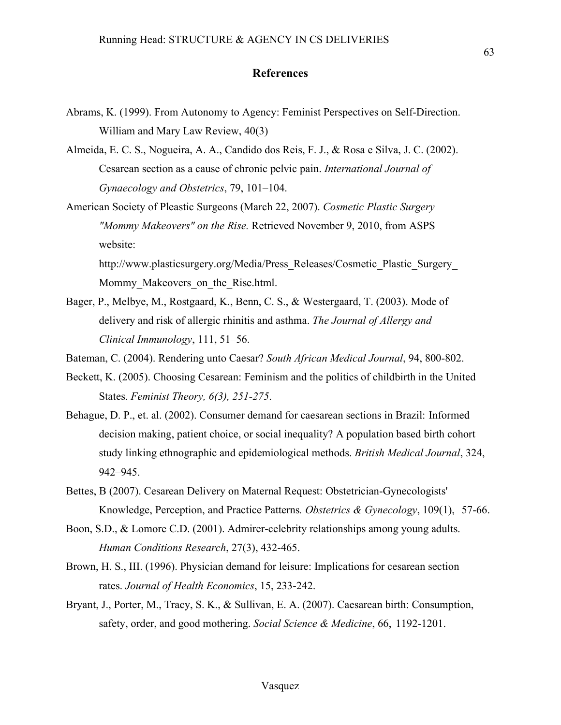#### 63

#### **References**

- Abrams, K. (1999). From Autonomy to Agency: Feminist Perspectives on Self-Direction. William and Mary Law Review, 40(3)
- Almeida, E. C. S., Nogueira, A. A., Candido dos Reis, F. J., & Rosa e Silva, J. C. (2002). Cesarean section as a cause of chronic pelvic pain. *International Journal of Gynaecology and Obstetrics*, 79, 101–104.
- American Society of Pleastic Surgeons (March 22, 2007). *Cosmetic Plastic Surgery "Mommy Makeovers" on the Rise.* Retrieved November 9, 2010, from ASPS website:

http://www.plasticsurgery.org/Media/Press\_Releases/Cosmetic\_Plastic\_Surgery\_ Mommy Makeovers on the Rise.html.

- Bager, P., Melbye, M., Rostgaard, K., Benn, C. S., & Westergaard, T. (2003). Mode of delivery and risk of allergic rhinitis and asthma. *The Journal of Allergy and Clinical Immunology*, 111, 51–56.
- Bateman, C. (2004). Rendering unto Caesar? *South African Medical Journal*, 94, 800-802.
- Beckett, K. (2005). Choosing Cesarean: Feminism and the politics of childbirth in the United States. *Feminist Theory, 6(3), 251-275*.
- Behague, D. P., et. al. (2002). Consumer demand for caesarean sections in Brazil: Informed decision making, patient choice, or social inequality? A population based birth cohort study linking ethnographic and epidemiological methods. *British Medical Journal*, 324, 942–945.
- Bettes, B (2007). Cesarean Delivery on Maternal Request: Obstetrician-Gynecologists' Knowledge, Perception, and Practice Patterns*. Obstetrics & Gynecology*, 109(1), 57-66.
- Boon, S.D., & Lomore C.D. (2001). Admirer-celebrity relationships among young adults. *Human Conditions Research*, 27(3), 432-465.
- Brown, H. S., III. (1996). Physician demand for leisure: Implications for cesarean section rates. *Journal of Health Economics*, 15, 233-242.
- Bryant, J., Porter, M., Tracy, S. K., & Sullivan, E. A. (2007). Caesarean birth: Consumption, safety, order, and good mothering. *Social Science & Medicine*, 66, 1192-1201.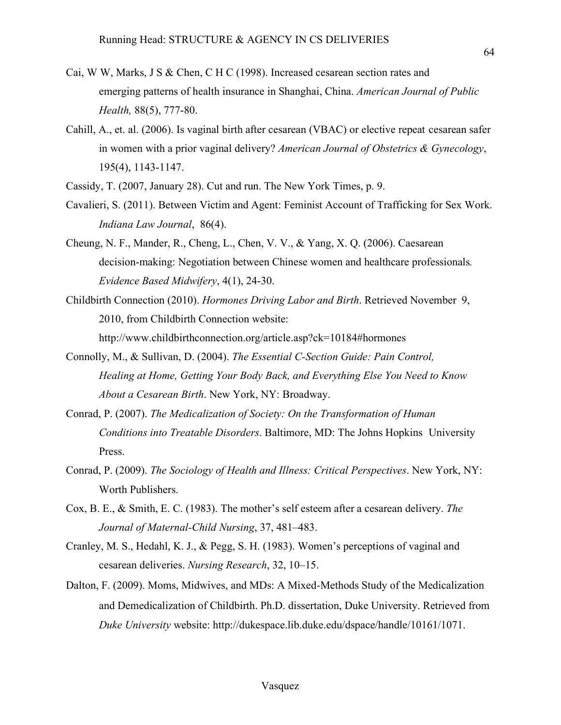- Cai, W W, Marks, J S & Chen, C H C (1998). Increased cesarean section rates and emerging patterns of health insurance in Shanghai, China. *American Journal of Public Health,* 88(5), 777-80.
- Cahill, A., et. al. (2006). Is vaginal birth after cesarean (VBAC) or elective repeat cesarean safer in women with a prior vaginal delivery? *American Journal of Obstetrics & Gynecology*, 195(4), 1143-1147.
- Cassidy, T. (2007, January 28). Cut and run. The New York Times, p. 9.
- Cavalieri, S. (2011). Between Victim and Agent: Feminist Account of Trafficking for Sex Work. *Indiana Law Journal*, 86(4).
- Cheung, N. F., Mander, R., Cheng, L., Chen, V. V., & Yang, X. Q. (2006). Caesarean decision-making: Negotiation between Chinese women and healthcare professionals*. Evidence Based Midwifery*, 4(1), 24-30.
- Childbirth Connection (2010). *Hormones Driving Labor and Birth*. Retrieved November 9, 2010, from Childbirth Connection website: http://www.childbirthconnection.org/article.asp?ck=10184#hormones
- Connolly, M., & Sullivan, D. (2004). *The Essential C-Section Guide: Pain Control, Healing at Home, Getting Your Body Back, and Everything Else You Need to Know About a Cesarean Birth*. New York, NY: Broadway.
- Conrad, P. (2007). *The Medicalization of Society: On the Transformation of Human Conditions into Treatable Disorders*. Baltimore, MD: The Johns Hopkins University Press.
- Conrad, P. (2009). *The Sociology of Health and Illness: Critical Perspectives*. New York, NY: Worth Publishers.
- Cox, B. E., & Smith, E. C. (1983). The mother's self esteem after a cesarean delivery. *The Journal of Maternal-Child Nursing*, 37, 481–483.
- Cranley, M. S., Hedahl, K. J., & Pegg, S. H. (1983). Women's perceptions of vaginal and cesarean deliveries. *Nursing Research*, 32, 10–15.
- Dalton, F. (2009). Moms, Midwives, and MDs: A Mixed**‐**Methods Study of the Medicalization and Demedicalization of Childbirth. Ph.D. dissertation, Duke University. Retrieved from *Duke University* website: http://dukespace.lib.duke.edu/dspace/handle/10161/1071.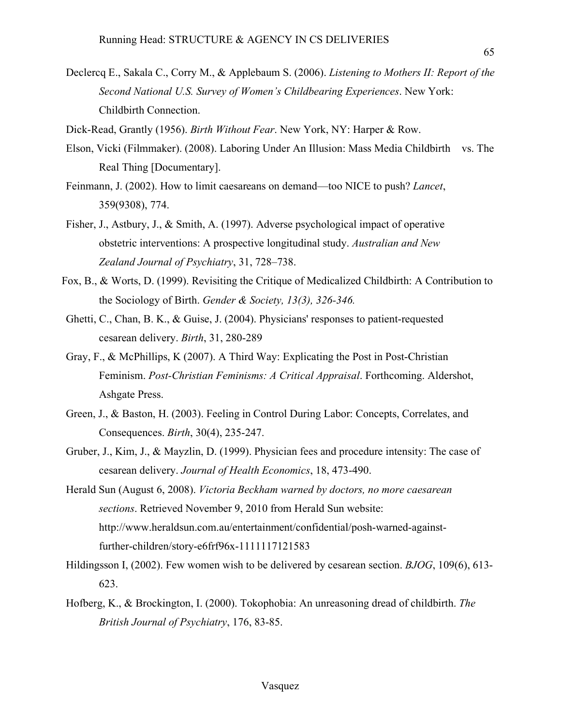- Declercq E., Sakala C., Corry M., & Applebaum S. (2006). *Listening to Mothers II: Report of the Second National U.S. Survey of Women's Childbearing Experiences*. New York: Childbirth Connection.
- Dick-Read, Grantly (1956). *Birth Without Fear*. New York, NY: Harper & Row.
- Elson, Vicki (Filmmaker). (2008). Laboring Under An Illusion: Mass Media Childbirth vs. The Real Thing [Documentary].
- Feinmann, J. (2002). How to limit caesareans on demand—too NICE to push? *Lancet*, 359(9308), 774.
- Fisher, J., Astbury, J., & Smith, A. (1997). Adverse psychological impact of operative obstetric interventions: A prospective longitudinal study. *Australian and New Zealand Journal of Psychiatry*, 31, 728–738.
- Fox, B., & Worts, D. (1999). Revisiting the Critique of Medicalized Childbirth: A Contribution to the Sociology of Birth. *Gender & Society, 13(3), 326-346.*
- Ghetti, C., Chan, B. K., & Guise, J. (2004). Physicians' responses to patient-requested cesarean delivery. *Birth*, 31, 280-289
- Gray, F., & McPhillips, K (2007). A Third Way: Explicating the Post in Post-Christian Feminism. *Post-Christian Feminisms: A Critical Appraisal*. Forthcoming. Aldershot, Ashgate Press.
- Green, J., & Baston, H. (2003). Feeling in Control During Labor: Concepts, Correlates, and Consequences. *Birth*, 30(4), 235-247.
- Gruber, J., Kim, J., & Mayzlin, D. (1999). Physician fees and procedure intensity: The case of cesarean delivery. *Journal of Health Economics*, 18, 473-490.
- Herald Sun (August 6, 2008). *Victoria Beckham warned by doctors, no more caesarean sections*. Retrieved November 9, 2010 from Herald Sun website: http://www.heraldsun.com.au/entertainment/confidential/posh-warned-againstfurther-children/story-e6frf96x-1111117121583
- Hildingsson I, (2002). Few women wish to be delivered by cesarean section. *BJOG*, 109(6), 613- 623.
- Hofberg, K., & Brockington, I. (2000). Tokophobia: An unreasoning dread of childbirth. *The British Journal of Psychiatry*, 176, 83-85.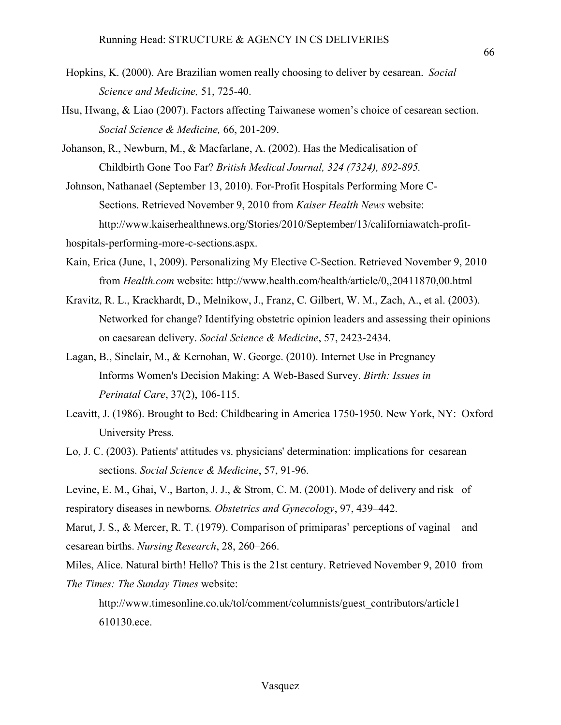- Hopkins, K. (2000). Are Brazilian women really choosing to deliver by cesarean. *Social Science and Medicine,* 51, 725-40.
- Hsu, Hwang, & Liao (2007). Factors affecting Taiwanese women's choice of cesarean section. *Social Science & Medicine,* 66, 201-209.
- Johanson, R., Newburn, M., & Macfarlane, A. (2002). Has the Medicalisation of Childbirth Gone Too Far? *British Medical Journal, 324 (7324), 892-895.*

Johnson, Nathanael (September 13, 2010). For-Profit Hospitals Performing More C-Sections. Retrieved November 9, 2010 from *Kaiser Health News* website: http://www.kaiserhealthnews.org/Stories/2010/September/13/californiawatch-profithospitals-performing-more-c-sections.aspx.

- Kain, Erica (June, 1, 2009). Personalizing My Elective C-Section. Retrieved November 9, 2010 from *Health.com* website: http://www.health.com/health/article/0,,20411870,00.html
- Kravitz, R. L., Krackhardt, D., Melnikow, J., Franz, C. Gilbert, W. M., Zach, A., et al. (2003). Networked for change? Identifying obstetric opinion leaders and assessing their opinions on caesarean delivery. *Social Science & Medicine*, 57, 2423-2434.
- Lagan, B., Sinclair, M., & Kernohan, W. George. (2010). Internet Use in Pregnancy Informs Women's Decision Making: A Web-Based Survey. *Birth: Issues in Perinatal Care*, 37(2), 106-115.
- Leavitt, J. (1986). Brought to Bed: Childbearing in America 1750-1950. New York, NY: Oxford University Press.
- Lo, J. C. (2003). Patients' attitudes vs. physicians' determination: implications for cesarean sections. *Social Science & Medicine*, 57, 91-96.

Levine, E. M., Ghai, V., Barton, J. J., & Strom, C. M. (2001). Mode of delivery and risk of respiratory diseases in newborns*. Obstetrics and Gynecology*, 97, 439–442.

Marut, J. S., & Mercer, R. T. (1979). Comparison of primiparas' perceptions of vaginal and cesarean births. *Nursing Research*, 28, 260–266.

Miles, Alice. Natural birth! Hello? This is the 21st century. Retrieved November 9, 2010 from *The Times: The Sunday Times* website:

http://www.timesonline.co.uk/tol/comment/columnists/guest\_contributors/article1 610130.ece.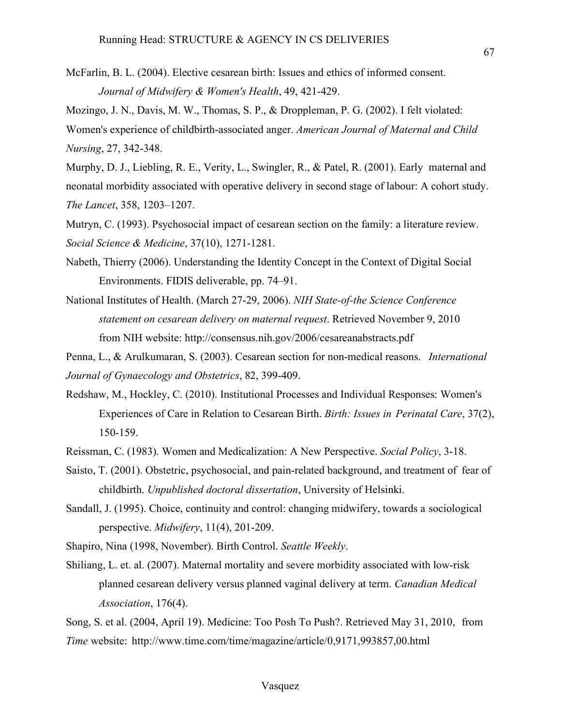McFarlin, B. L. (2004). Elective cesarean birth: Issues and ethics of informed consent. *Journal of Midwifery & Women's Health*, 49, 421-429.

Mozingo, J. N., Davis, M. W., Thomas, S. P., & Droppleman, P. G. (2002). I felt violated: Women's experience of childbirth-associated anger. *American Journal of Maternal and Child Nursing*, 27, 342-348.

- Murphy, D. J., Liebling, R. E., Verity, L., Swingler, R., & Patel, R. (2001). Early maternal and neonatal morbidity associated with operative delivery in second stage of labour: A cohort study. *The Lancet*, 358, 1203–1207.
- Mutryn, C. (1993). Psychosocial impact of cesarean section on the family: a literature review. *Social Science & Medicine*, 37(10), 1271-1281.
- Nabeth, Thierry (2006). Understanding the Identity Concept in the Context of Digital Social Environments. FIDIS deliverable, pp. 74–91.
- National Institutes of Health. (March 27-29, 2006). *NIH State-of-the Science Conference statement on cesarean delivery on maternal request*. Retrieved November 9, 2010 from NIH website: http://consensus.nih.gov/2006/cesareanabstracts.pdf

Penna, L., & Arulkumaran, S. (2003). Cesarean section for non-medical reasons. *International Journal of Gynaecology and Obstetrics*, 82, 399-409.

- Redshaw, M., Hockley, C. (2010). Institutional Processes and Individual Responses: Women's Experiences of Care in Relation to Cesarean Birth. *Birth: Issues in Perinatal Care*, 37(2), 150-159.
- Reissman, C. (1983). Women and Medicalization: A New Perspective. *Social Policy*, 3-18.
- Saisto, T. (2001). Obstetric, psychosocial, and pain-related background, and treatment of fear of childbirth. *Unpublished doctoral dissertation*, University of Helsinki.
- Sandall, J. (1995). Choice, continuity and control: changing midwifery, towards a sociological perspective. *Midwifery*, 11(4), 201-209.

Shapiro, Nina (1998, November). Birth Control. *Seattle Weekly*.

Shiliang, L. et. al. (2007). Maternal mortality and severe morbidity associated with low-risk planned cesarean delivery versus planned vaginal delivery at term. *Canadian Medical Association*, 176(4).

Song, S. et al. (2004, April 19). Medicine: Too Posh To Push?. Retrieved May 31, 2010, from *Time* website: http://www.time.com/time/magazine/article/0,9171,993857,00.html